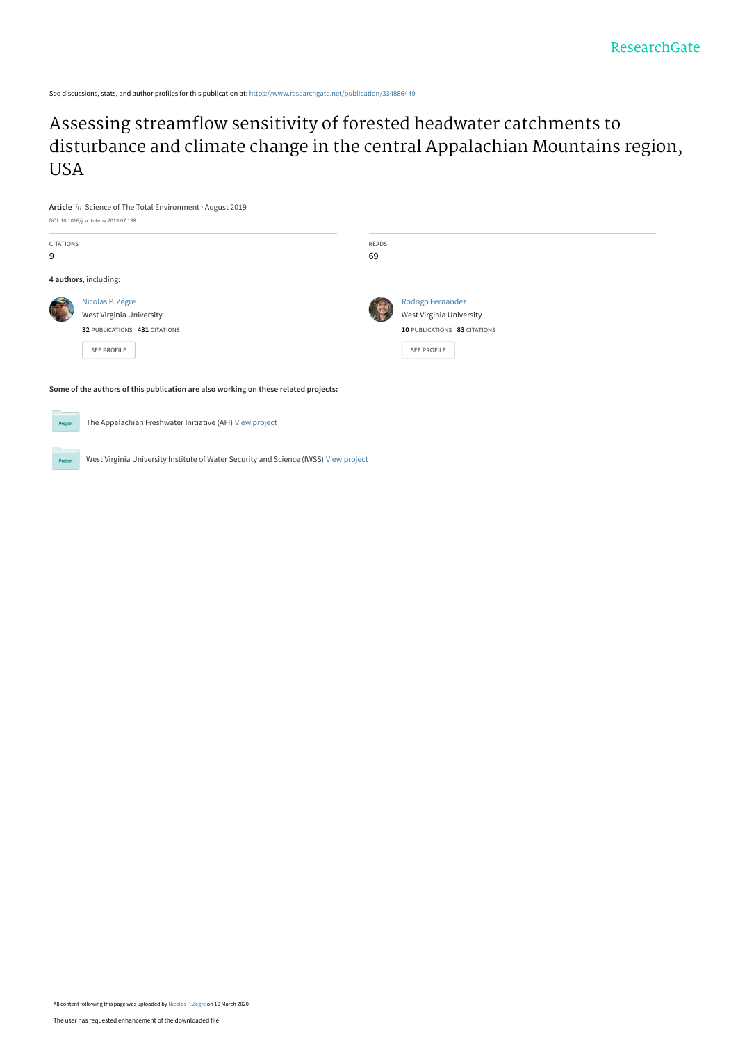See discussions, stats, and author profiles for this publication at: [https://www.researchgate.net/publication/334886449](https://www.researchgate.net/publication/334886449_Assessing_streamflow_sensitivity_of_forested_headwater_catchments_to_disturbance_and_climate_change_in_the_central_Appalachian_Mountains_region_USA?enrichId=rgreq-f1fd63a63f0a47266f00d55e7e11cd9d-XXX&enrichSource=Y292ZXJQYWdlOzMzNDg4NjQ0OTtBUzo4Njc1NDA5NDc0Mzk2MTdAMTU4Mzg0OTI4ODkzOA%3D%3D&el=1_x_2&_esc=publicationCoverPdf)

Assessing streamflow sensitivity of forested headwater catchments to [disturbance and climate change in the central Appalachian Mountains region,](https://www.researchgate.net/publication/334886449_Assessing_streamflow_sensitivity_of_forested_headwater_catchments_to_disturbance_and_climate_change_in_the_central_Appalachian_Mountains_region_USA?enrichId=rgreq-f1fd63a63f0a47266f00d55e7e11cd9d-XXX&enrichSource=Y292ZXJQYWdlOzMzNDg4NjQ0OTtBUzo4Njc1NDA5NDc0Mzk2MTdAMTU4Mzg0OTI4ODkzOA%3D%3D&el=1_x_3&_esc=publicationCoverPdf) USA



The Appalachian Freshwater Initiative (AFI) [View project](https://www.researchgate.net/project/The-Appalachian-Freshwater-Initiative-AFI?enrichId=rgreq-f1fd63a63f0a47266f00d55e7e11cd9d-XXX&enrichSource=Y292ZXJQYWdlOzMzNDg4NjQ0OTtBUzo4Njc1NDA5NDc0Mzk2MTdAMTU4Mzg0OTI4ODkzOA%3D%3D&el=1_x_9&_esc=publicationCoverPdf)

**Project** 

Project

West Virginia University Institute of Water Security and Science (IWSS) [View project](https://www.researchgate.net/project/West-Virginia-University-Institute-of-Water-Security-and-Science-IWSS?enrichId=rgreq-f1fd63a63f0a47266f00d55e7e11cd9d-XXX&enrichSource=Y292ZXJQYWdlOzMzNDg4NjQ0OTtBUzo4Njc1NDA5NDc0Mzk2MTdAMTU4Mzg0OTI4ODkzOA%3D%3D&el=1_x_9&_esc=publicationCoverPdf)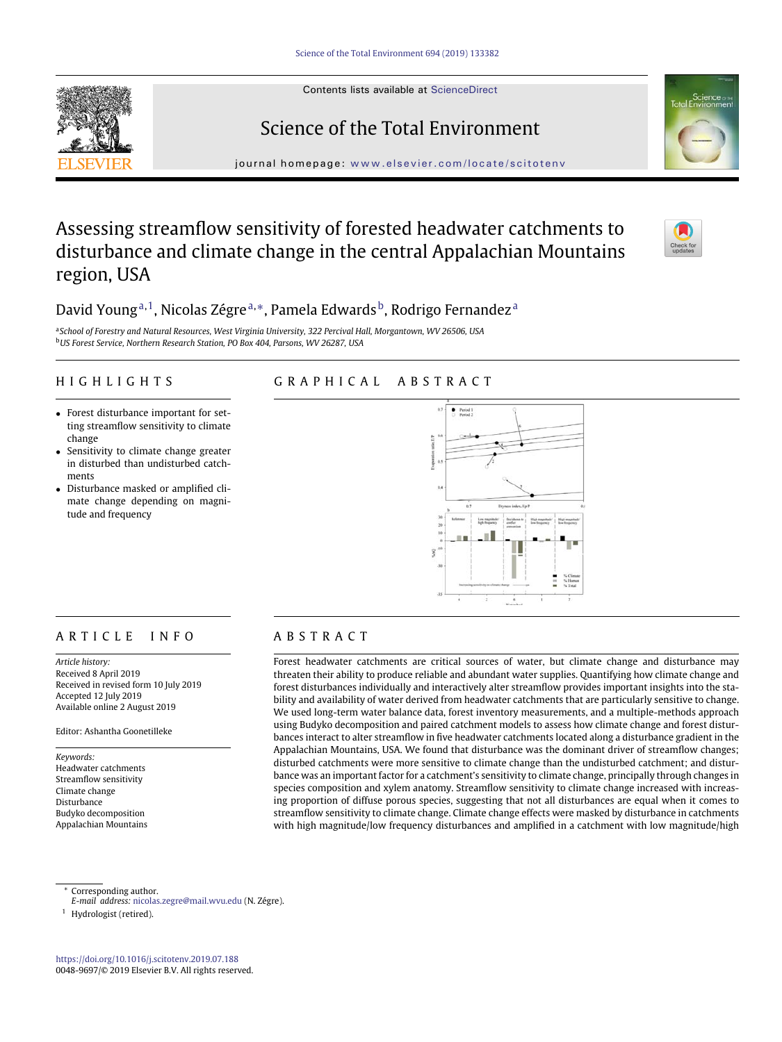Contents lists available at [ScienceDirect](http://www.ScienceDirect.com/)

# Science of the Total Environment

journal homepage: [www.elsevier.com/locate/scitotenv](http://www.elsevier.com/locate/scitotenv)

# Assessing streamflow sensitivity of forested headwater catchments to disturbance and climate change in the central Appalachian Mountains region, USA



# D[a](#page-1-0)vid Young<sup>a,1</sup>, Nicolas Zégre<sup>a,</sup>[\\*,](#page-1-2) Pamela Edwards<sup>b</sup>, Rodrigo Fernandez<sup>a</sup>

<span id="page-1-3"></span><span id="page-1-0"></span><sup>a</sup>*School of Forestry and Natural Resources, West Virginia University, 322 Percival Hall, Morgantown, WV 26506, USA* <sup>b</sup>*US Forest Service, Northern Research Station, PO Box 404, Parsons, WV 26287, USA*

# HIGHLIGHTS

# GRAPHICAL ABSTRACT

- Forest disturbance important for setting streamflow sensitivity to climate change
- Sensitivity to climate change greater in disturbed than undisturbed catchments
- Disturbance masked or amplified climate change depending on magnitude and frequency



# ARTICLE INFO

*Article history:* Received 8 April 2019 Received in revised form 10 July 2019 Accepted 12 July 2019 Available online 2 August 2019

Editor: Ashantha Goonetilleke

*Keywords:* Headwater catchments Streamflow sensitivity Climate change Disturbance Budyko decomposition Appalachian Mountains

# ABSTRACT

Forest headwater catchments are critical sources of water, but climate change and disturbance may threaten their ability to produce reliable and abundant water supplies. Quantifying how climate change and forest disturbances individually and interactively alter streamflow provides important insights into the stability and availability of water derived from headwater catchments that are particularly sensitive to change. We used long-term water balance data, forest inventory measurements, and a multiple-methods approach using Budyko decomposition and paired catchment models to assess how climate change and forest disturbances interact to alter streamflow in five headwater catchments located along a disturbance gradient in the Appalachian Mountains, USA. We found that disturbance was the dominant driver of streamflow changes; disturbed catchments were more sensitive to climate change than the undisturbed catchment; and disturbance was an important factor for a catchment's sensitivity to climate change, principally through changes in species composition and xylem anatomy. Streamflow sensitivity to climate change increased with increasing proportion of diffuse porous species, suggesting that not all disturbances are equal when it comes to streamflow sensitivity to climate change. Climate change effects were masked by disturbance in catchments with high magnitude/low frequency disturbances and amplified in a catchment with low magnitude/high

Corresponding author.

<span id="page-1-1"></span><sup>1</sup> Hydrologist (retired).

<span id="page-1-2"></span>*E-mail address:* [nicolas.zegre@mail.wvu.edu](mailto:nicolas.zegre@mail.wvu.edu) (N. Zégre).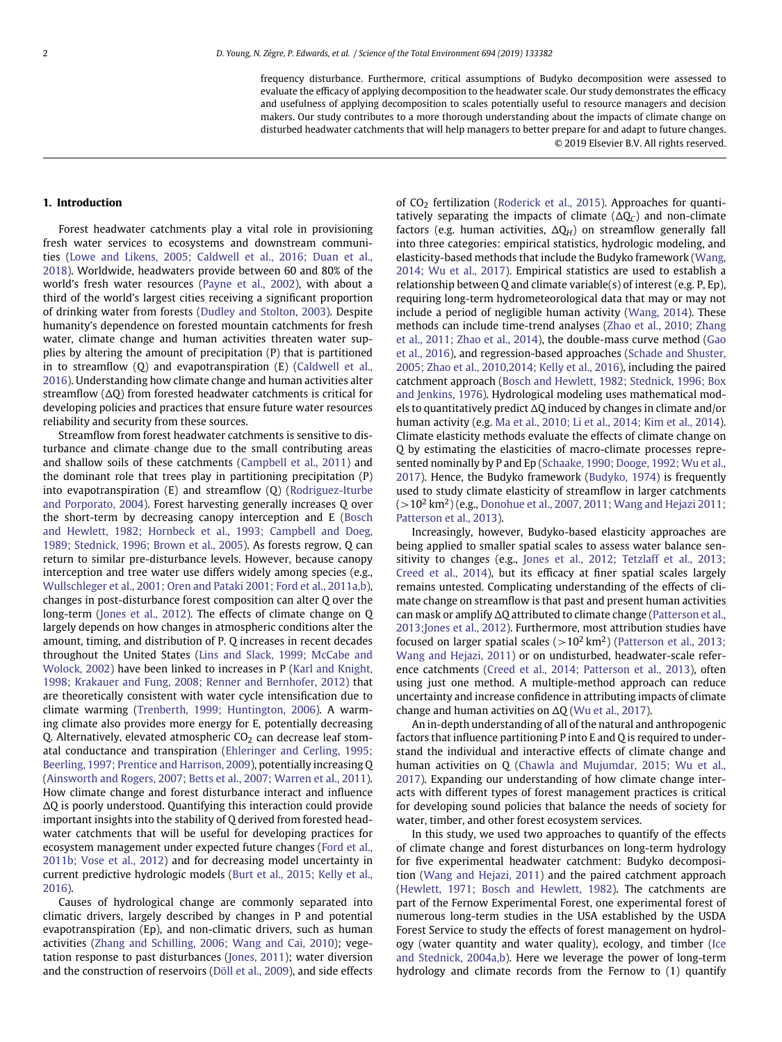frequency disturbance. Furthermore, critical assumptions of Budyko decomposition were assessed to evaluate the efficacy of applying decomposition to the headwater scale. Our study demonstrates the efficacy and usefulness of applying decomposition to scales potentially useful to resource managers and decision makers. Our study contributes to a more thorough understanding about the impacts of climate change on disturbed headwater catchments that will help managers to better prepare for and adapt to future changes. © 2019 Elsevier B.V. All rights reserved.

## **1. Introduction**

Forest headwater catchments play a vital role in provisioning fresh water services to ecosystems and downstream communities (Lowe and Likens, 2005; Caldwell et al., 2016; Duan et al., 2018). Worldwide, headwaters provide between 60 and 80% of the world's fresh water resources [\(Payne et al., 2002\)](#page-17-0), with about a third of the world's largest cities receiving a significant proportion of drinking water from forests [\(Dudley and Stolton, 2003\)](#page-16-0). Despite humanity's dependence on forested mountain catchments for fresh water, climate change and human activities threaten water supplies by altering the amount of precipitation (P) that is partitioned in to streamflow (Q) and evapotranspiration (E) (Caldwell et al., 2016). Understanding how climate change and human activities alter streamflow  $(\Delta Q)$  from forested headwater catchments is critical for developing policies and practices that ensure future water resources reliability and security from these sources.

Streamflow from forest headwater catchments is sensitive to disturbance and climate change due to the small contributing areas and shallow soils of these catchments [\(Campbell et al., 2011\)](#page-15-0) and the dominant role that trees play in partitioning precipitation (P) into evapotranspiration (E) and streamflow (Q) (Rodriguez-Iturbe and Porporato, 2004). Forest harvesting generally increases Q over the short-term by decreasing canopy interception and E (Bosch and Hewlett, 1982; Hornbeck et al., 1[993; Campbell and](#page-15-1) Doeg, 1989; Stednick, 1996; Brown et al., 2005). As forests regrow, Q can return to similar pre-disturbance levels. However, because canopy interception and tree water use differs widely among species (e.g., [Wullschleger et al., 2001; Oren and Pataki 2001; Ford et al., 2011a,b\)](#page-17-1), changes in post-disturbance forest composition can alter Q over the long-term [\(Jones et al., 2012\)](#page-16-1). The effects of climate change on Q largely depends on how changes in atmospheric conditions alter the amount, timing, and distribution of P. Q increases in recent decades throughout the United States (Lins and Slack, 1999; McCabe and Wolock, 2002) have been linked to increases in P (Karl and Knight, 1998; Krakauer and Fung, 2008; Renner and Bernhofer, 2012) that are theoretically consistent with water cycle intensification due to climate warming [\(Trenberth, 1999; Huntington, 2006\)](#page-17-2). A warming climate also provides more energy for E, potentially decreasing Q. Alternatively, elevated atmospheric  $CO<sub>2</sub>$  can decrease leaf stomatal conductance and transpiration (Ehleringer and Cerling, 1995; Beerling, 1997; Prentice and Harrison, 2009), potentially increasing Q [\(Ainsworth and Rogers, 2007; Betts et al., 2007; Warren et al., 2011\)](#page-15-2). How climate change and forest disturbance interact and influence  $\Delta Q$  is poorly understood. Quantifying this interaction could provide important insights into the stability of Q derived from forested headwater catchments that will be useful for developing practices for ecosystem management under expected future changes (Ford et al., 2011b; Vose et al., 2012) and for decreasing model uncertainty in current predictive hydrologic models (Burt et al., 2015; Kelly et al., 2016).

Causes of hydrological change are commonly separated into climatic drivers, largely described by changes in P and potential evapotranspiration (Ep), and non-climatic drivers, such as human activities [\(Zhang and Schilling, 2006; Wang and Cai, 2010\)](#page-17-3); vegetation response to past disturbances [\(Jones, 2011\)](#page-16-2); water diversion and the construction of reservoirs [\(Döll et al., 2009\)](#page-16-3), and side effects of CO<sub>2</sub> fertilization [\(Roderick et al., 2015\)](#page-17-4). Approaches for quantitatively separating the impacts of climate  $(\Delta Q_C)$  and non-climate factors (e.g. human activities,  $\Delta Q_H$ ) on streamflow generally fall into three categories: empirical statistics, hydrologic modeling, and elasticity-based methods that include the Budyko framework (Wang, 2014; Wu et al., 2017). Empirical statistics are used to establish a relationship between Q and climate variable(s) of interest (e.g. P, Ep), requiring long-term hydrometeorological data that may or may not include a period of negligible human activity [\(Wang, 2014\)](#page-17-5). These methods can include time-trend analyses (Zhao et al., 2010; Zhang et al., 2011; Zhao et al., 2014), the double-mass curve method (Gao et al., 2016), and regression-based approaches (Schade and Shuster, 2005; Zhao et al., 2010,2014; Kelly et al., 2016), including the paired catchment approach (Bosch and Hewlett, 1982; Stednick, 1996; Box and Jenkins, 1976). Hydrological modeling uses mathematical models to quantitatively predict  $\Delta$ O induced by changes in climate and/or human activity (e.g. [Ma et al., 2010; Li et al., 2014; Kim et al., 2014\)](#page-16-4). Climate elasticity methods evaluate the effects of climate change on Q by estimating the elasticities of macro-climate processes represented nominally by P and Ep (Schaake, 1990; Dooge, 1992; Wu et al., 2017). Hence, the Budyko framework [\(Budyko, 1974\)](#page-15-3) is frequently used to study climate elasticity of streamflow in larger catchments (*>*10<sup>2</sup> km2) (e.g., Donohue et al., 2007, 2011; Wang and Hejazi 2011; Patterson et al., 2013).

Increasingly, however, Budyko-based elasticity approaches are being applied to smaller spatial scales to assess water balance sensitivity to changes (e.g., Jones et al., 2012; Tetzlaff et al., 2013; Creed et al., 2014), but its efficacy at finer spatial scales largely remains untested. Complicating understanding of the effects of climate change on streamflow is that past and present human activities can mask or amplify  $\Delta Q$  attributed to climate change (Patterson et al., 2013;Jones et al., 2012). Furthermore, most attribution studies have focused on larger spatial scales (*>*10<sup>2</sup> km2) (Patterson et al., 2013; Wang and Hejazi, 2011) or on undisturbed, headwater-scale reference catchments [\(Creed et al., 2014; Patterson et al., 2013\)](#page-15-4), often using just one method. A multiple-method approach can reduce uncertainty and increase confidence in attributing impacts of climate change and human activities on  $\Delta Q$  [\(Wu et al., 2017\)](#page-17-6).

An in-depth understanding of all of the natural and anthropogenic factors that influence partitioning P into E and Q is required to understand the individual and interactive effects of climate change and human activities on Q (Chawla and Mujumdar, 2015; Wu et al., 2017). Expanding our understanding of how climate change interacts with different types of forest management practices is critical for developing sound policies that balance the needs of society for water, timber, and other forest ecosystem services.

In this study, we used two approaches to quantify of the effects of climate change and forest disturbances on long-term hydrology for five experimental headwater catchment: Budyko decomposition [\(Wang and Hejazi, 2011\)](#page-17-7) and the paired catchment approach [\(Hewlett, 1971; Bosch and Hewlett, 1982\)](#page-16-5). The catchments are part of the Fernow Experimental Forest, one experimental forest of numerous long-term studies in the USA established by the USDA Forest Service to study the effects of forest management on hydrology (water quantity and water quality), ecology, and timber (Ice and Stednick, 2004a,b). Here we leverage the power of long-term hydrology and climate records from the Fernow to (1) quantify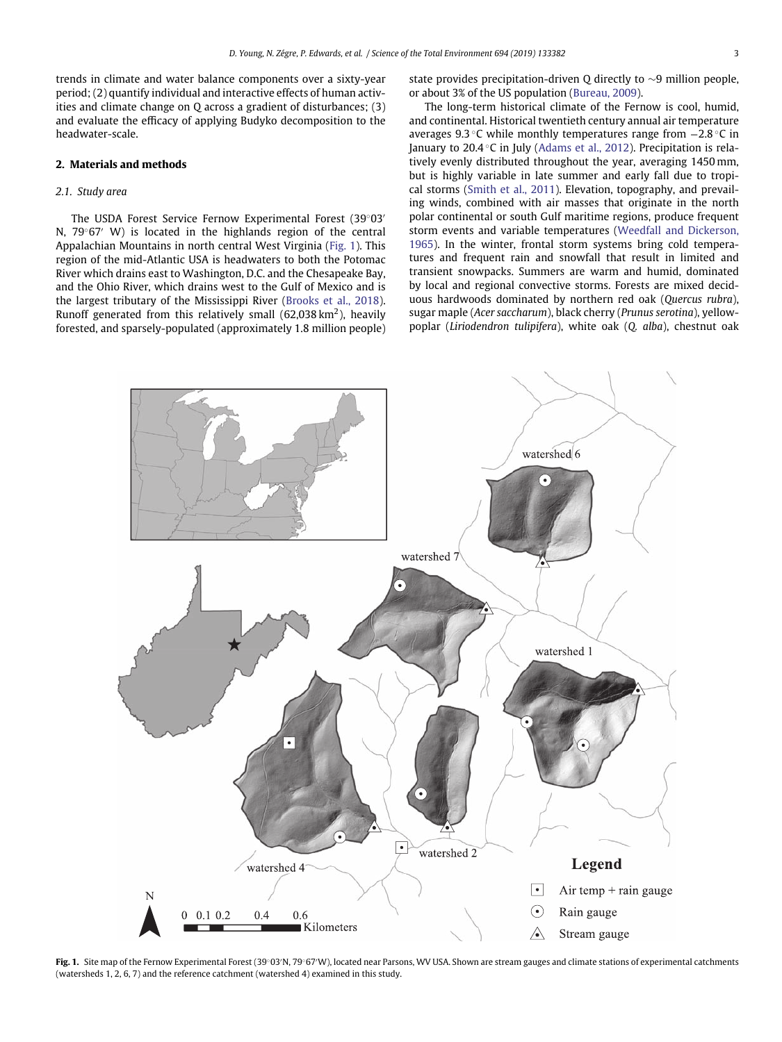trends in climate and water balance components over a sixty-year period; (2) quantify individual and interactive effects of human activities and climate change on Q across a gradient of disturbances; (3) and evaluate the efficacy of applying Budyko decomposition to the headwater-scale.

# **2. Materials and methods**

# *2.1. Study area*

The USDA Forest Service Fernow Experimental Forest (39◦03 N, 79<sup>°</sup>67′ W) is located in the highlands region of the central Appalachian Mountains in north central West Virginia [\(Fig. 1\)](#page-3-0). This region of the mid-Atlantic USA is headwaters to both the Potomac River which drains east to Washington, D.C. and the Chesapeake Bay, and the Ohio River, which drains west to the Gulf of Mexico and is the largest tributary of the Mississippi River [\(Brooks et al., 2018\)](#page-15-5). Runoff generated from this relatively small (62,038 km<sup>2</sup>), heavily forested, and sparsely-populated (approximately 1.8 million people) state provides precipitation-driven Q directly to ∼9 million people, or about 3% of the US population [\(Bureau, 2009\)](#page-15-6).

The long-term historical climate of the Fernow is cool, humid, and continental. Historical twentieth century annual air temperature averages 9.3 ◦C while monthly temperatures range from −2.8 ◦C in January to 20.4 ◦C in July [\(Adams et al., 2012\)](#page-15-7). Precipitation is relatively evenly distributed throughout the year, averaging 1450 mm, but is highly variable in late summer and early fall due to tropical storms [\(Smith et al., 2011\)](#page-17-8). Elevation, topography, and prevailing winds, combined with air masses that originate in the north polar continental or south Gulf maritime regions, produce frequent storm events and variable temperatures (Weedfall and Dickerson, 1965). In the winter, frontal storm systems bring cold temperatures and frequent rain and snowfall that result in limited and transient snowpacks. Summers are warm and humid, dominated by local and regional convective storms. Forests are mixed deciduous hardwoods dominated by northern red oak (*Quercus rubra*), sugar maple (*Acer saccharum*), black cherry (*Prunus serotina*), yellowpoplar (*Liriodendron tulipifera*), white oak (*Q. alba*), chestnut oak



<span id="page-3-0"></span>**Fig. 1.** Site map of the Fernow Experimental Forest (39°03′N, 79°67′W), located near Parsons, WV USA. Shown are stream gauges and climate stations of experimental catchments (watersheds 1, 2, 6, 7) and the reference catchment (watershed 4) examined in this study.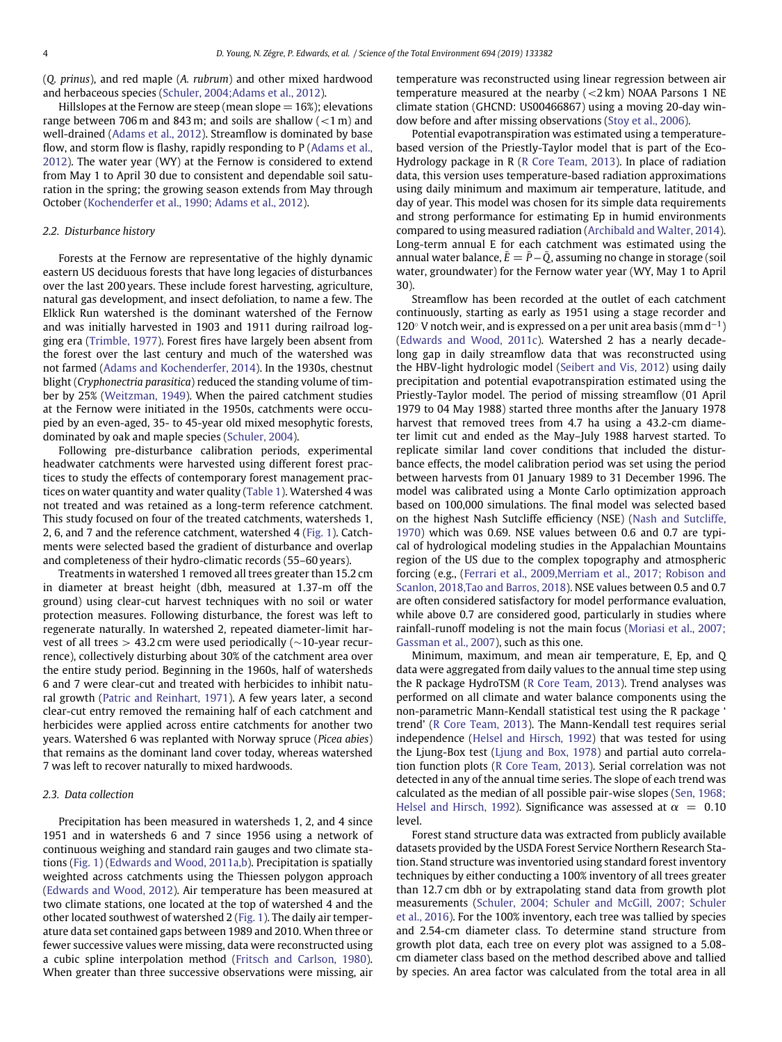(*Q. prinus*), and red maple (*A. rubrum*) and other mixed hardwood and herbaceous species [\(Schuler, 2004;Adams et al., 2012\)](#page-17-9).

Hillslopes at the Fernow are steep (mean slope  $= 16\%$ ); elevations range between 706 m and 843 m; and soils are shallow (*<*1 m) and well-drained [\(Adams et al., 2012\)](#page-15-7). Streamflow is dominated by base flow, and storm flow is flashy, rapidly responding to P (Adams et al., 2012). The water year (WY) at the Fernow is considered to extend from May 1 to April 30 due to consistent and dependable soil saturation in the spring; the growing season extends from May through October [\(Kochenderfer et al., 1990; Adams et al., 2012\)](#page-16-6).

#### *2.2. Disturbance history*

Forests at the Fernow are representative of the highly dynamic eastern US deciduous forests that have long legacies of disturbances over the last 200 years. These include forest harvesting, agriculture, natural gas development, and insect defoliation, to name a few. The Elklick Run watershed is the dominant watershed of the Fernow and was initially harvested in 1903 and 1911 during railroad logging era [\(Trimble, 1977\)](#page-17-10). Forest fires have largely been absent from the forest over the last century and much of the watershed was not farmed [\(Adams and Kochenderfer, 2014\)](#page-15-8). In the 1930s, chestnut blight (*Cryphonectria parasitica*) reduced the standing volume of timber by 25% [\(Weitzman, 1949\)](#page-17-11). When the paired catchment studies at the Fernow were initiated in the 1950s, catchments were occupied by an even-aged, 35- to 45-year old mixed mesophytic forests, dominated by oak and maple species [\(Schuler, 2004\)](#page-17-9).

Following pre-disturbance calibration periods, experimental headwater catchments were harvested using different forest practices to study the effects of contemporary forest management practices on water quantity and water quality [\(Table 1\)](#page-5-0). Watershed 4 was not treated and was retained as a long-term reference catchment. This study focused on four of the treated catchments, watersheds 1, 2, 6, and 7 and the reference catchment, watershed 4 [\(Fig. 1\)](#page-3-0). Catchments were selected based the gradient of disturbance and overlap and completeness of their hydro-climatic records (55–60 years).

Treatments in watershed 1 removed all trees greater than 15.2 cm in diameter at breast height (dbh, measured at 1.37-m off the ground) using clear-cut harvest techniques with no soil or water protection measures. Following disturbance, the forest was left to regenerate naturally. In watershed 2, repeated diameter-limit harvest of all trees *>* 43.2 cm were used periodically (∼10-year recurrence), collectively disturbing about 30% of the catchment area over the entire study period. Beginning in the 1960s, half of watersheds 6 and 7 were clear-cut and treated with herbicides to inhibit natural growth [\(Patric and Reinhart, 1971\)](#page-16-7). A few years later, a second clear-cut entry removed the remaining half of each catchment and herbicides were applied across entire catchments for another two years. Watershed 6 was replanted with Norway spruce (*Picea abies*) that remains as the dominant land cover today, whereas watershed 7 was left to recover naturally to mixed hardwoods.

#### *2.3. Data collection*

Precipitation has been measured in watersheds 1, 2, and 4 since 1951 and in watersheds 6 and 7 since 1956 using a network of continuous weighing and standard rain gauges and two climate stations [\(Fig. 1\)](#page-3-0) [\(Edwards and Wood, 2011a,b\)](#page-16-8). Precipitation is spatially weighted across catchments using the Thiessen polygon approach [\(Edwards and Wood, 2012\)](#page-16-9). Air temperature has been measured at two climate stations, one located at the top of watershed 4 and the other located southwest of watershed 2 [\(Fig. 1\)](#page-3-0). The daily air temperature data set contained gaps between 1989 and 2010. When three or fewer successive values were missing, data were reconstructed using a cubic spline interpolation method [\(Fritsch and Carlson, 1980\)](#page-16-10). When greater than three successive observations were missing, air temperature was reconstructed using linear regression between air temperature measured at the nearby (*<*2 km) NOAA Parsons 1 NE climate station (GHCND: US00466867) using a moving 20-day window before and after missing observations [\(Stoy et al., 2006\)](#page-17-12).

Potential evapotranspiration was estimated using a temperaturebased version of the Priestly-Taylor model that is part of the Eco-Hydrology package in R [\(R Core Team, 2013\)](#page-17-13). In place of radiation data, this version uses temperature-based radiation approximations using daily minimum and maximum air temperature, latitude, and day of year. This model was chosen for its simple data requirements and strong performance for estimating Ep in humid environments compared to using measured radiation [\(Archibald and Walter, 2014\)](#page-15-9). Long-term annual E for each catchment was estimated using the annual water balance,  $E = P - Q$ , assuming no change in storage (soil water, groundwater) for the Fernow water year (WY, May 1 to April 30).

Streamflow has been recorded at the outlet of each catchment continuously, starting as early as 1951 using a stage recorder and 120 $\circ$  V notch weir, and is expressed on a per unit area basis (mm d<sup>-1</sup>) [\(Edwards and Wood, 2011c\)](#page-16-11). Watershed 2 has a nearly decadelong gap in daily streamflow data that was reconstructed using the HBV-light hydrologic model [\(Seibert and Vis, 2012\)](#page-17-14) using daily precipitation and potential evapotranspiration estimated using the Priestly-Taylor model. The period of missing streamflow (01 April 1979 to 04 May 1988) started three months after the January 1978 harvest that removed trees from 4.7 ha using a 43.2-cm diameter limit cut and ended as the May–July 1988 harvest started. To replicate similar land cover conditions that included the disturbance effects, the model calibration period was set using the period between harvests from 01 January 1989 to 31 December 1996. The model was calibrated using a Monte Carlo optimization approach based on 100,000 simulations. The final model was selected based on t[he](#page-16-12) [highest](#page-16-12) [Nash](#page-16-12) [Sutcliffe](#page-16-12) [efficiency](#page-16-12) [\(NSE\)](#page-16-12) [\(](#page-16-12)Nash and Sutcliffe, 1970) which was 0.69. NSE values between 0.6 and 0.7 are typical of hydrological modeling studies in the Appalachian Mountains region of the US due to the complex topography and atmospheric forcing (e.g., (Ferrari et al., 2009,Merriam et al., 2017; Robison and Scanlon, 2018,Tao and Barros, 2018). NSE values between 0.5 and 0.7 are often considered satisfactory for model performance evaluation, while above 0.7 are considered good, particularly in studies where rainfall-runoff modeling is not the main focus (Moriasi et al., 2007; Gassman et al., 2007), such as this one.

Minimum, maximum, and mean air temperature, E, Ep, and Q data were aggregated from daily values to the annual time step using the R package HydroTSM [\(R Core Team, 2013\)](#page-17-13). Trend analyses was performed on all climate and water balance components using the non-parametric Mann-Kendall statistical test using the R package ' trend' [\(R Core Team, 2013\)](#page-17-13). The Mann-Kendall test requires serial independence [\(Helsel and Hirsch, 1992\)](#page-16-13) that was tested for using the Ljung-Box test [\(Ljung and Box, 1978\)](#page-16-14) and partial auto correlation function plots [\(R Core Team, 2013\)](#page-17-13). Serial correlation was not detected in any of the annual time series. The slope of each trend was calculated as the median of all possible pair-wise slopes (Sen, 1968; Helsel and Hirsch, 1992). Significance was assessed at  $\alpha = 0.10$ level.

Forest stand structure data was extracted from publicly available datasets provided by the USDA Forest Service Northern Research Station. Stand structure was inventoried using standard forest inventory techniques by either conducting a 100% inventory of all trees greater than 12.7 cm dbh or by extrapolating stand data from growth plot measurements (Schuler, 2004; Schuler and McGill, 2007; Schuler et al., 2016). For the 100% inventory, each tree was tallied by species and 2.54-cm diameter class. To determine stand structure from growth plot data, each tree on every plot was assigned to a 5.08 cm diameter class based on the method described above and tallied by species. An area factor was calculated from the total area in all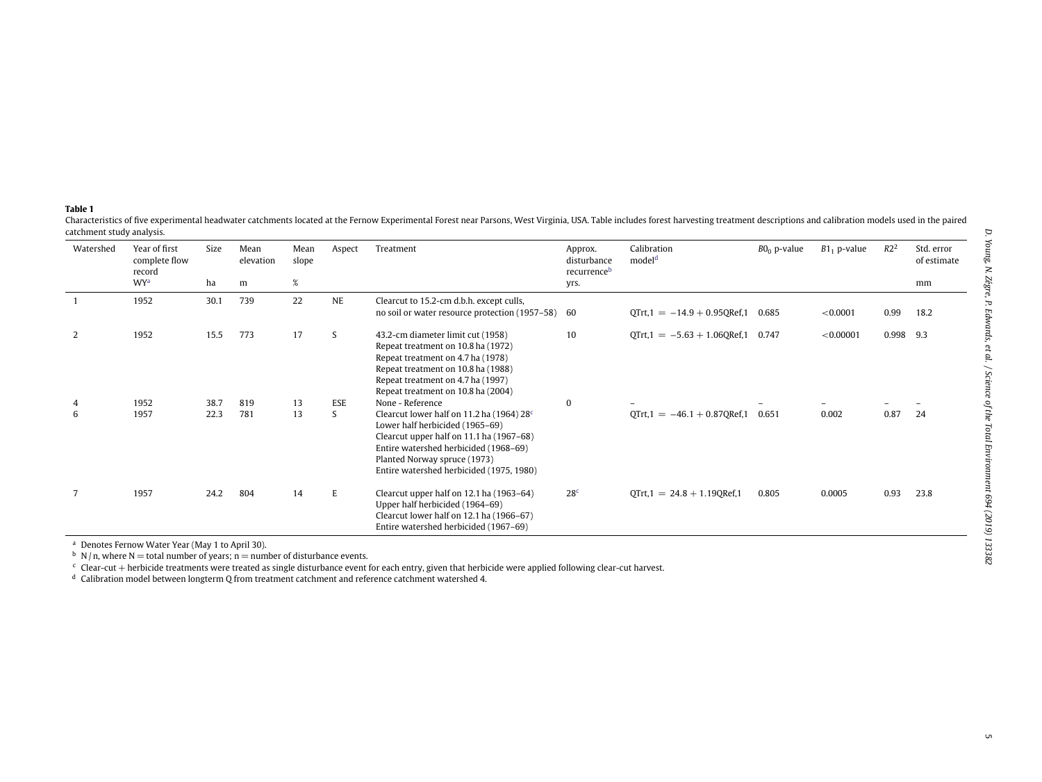#### **Table 1**

Characteristics of five experimental headwater catchments located at the Fernow Experimental Forest near Parsons, West Virginia, USA. Table includes forest harvesting treatment descriptions and calibration models used in t catchment study analysis.  $\overline{a}$ 

| Watershed | Year of first<br>complete flow<br>record | Size | Mean<br>elevation | Mean<br>slope | Aspect     | Treatment                                                                                                                                                                                                                                                 | Approx.<br>disturbance<br>recurrenceb | Calibration<br>model <sup>d</sup> | $B0_0$ p-value | $B1_1$ p-value | R2 <sup>2</sup> | Std. error<br>of estimate |
|-----------|------------------------------------------|------|-------------------|---------------|------------|-----------------------------------------------------------------------------------------------------------------------------------------------------------------------------------------------------------------------------------------------------------|---------------------------------------|-----------------------------------|----------------|----------------|-----------------|---------------------------|
|           | <b>WY</b> <sup>a</sup>                   | ha   | m                 | $\%$          |            |                                                                                                                                                                                                                                                           | yrs.                                  |                                   |                |                |                 | mm                        |
|           | 1952                                     | 30.1 | 739               | 22            | <b>NE</b>  | Clearcut to 15.2-cm d.b.h. except culls,<br>no soil or water resource protection (1957–58) 60                                                                                                                                                             |                                       | $QTrt, 1 = -14.9 + 0.95QRef, 1$   | 0.685          | < 0.0001       | 0.99            | 18.2                      |
| 2         | 1952                                     | 15.5 | 773               | 17            | S          | 43.2-cm diameter limit cut (1958)<br>Repeat treatment on 10.8 ha (1972)<br>Repeat treatment on 4.7 ha (1978)<br>Repeat treatment on 10.8 ha (1988)<br>Repeat treatment on 4.7 ha (1997)<br>Repeat treatment on 10.8 ha (2004)                             | 10                                    | $QTrt, 1 = -5.63 + 1.06QRef, 1$   | 0.747          | < 0.00001      | 0.998           | 9.3                       |
|           | 1952                                     | 38.7 | 819               | 13            | <b>ESE</b> | None - Reference                                                                                                                                                                                                                                          | $\Omega$                              |                                   |                |                |                 |                           |
| 6         | 1957                                     | 22.3 | 781               | 13            | S          | Clearcut lower half on 11.2 ha (1964) 28 <sup>c</sup><br>Lower half herbicided (1965-69)<br>Clearcut upper half on 11.1 ha (1967-68)<br>Entire watershed herbicided (1968–69)<br>Planted Norway spruce (1973)<br>Entire watershed herbicided (1975, 1980) |                                       | $QTrt, 1 = -46.1 + 0.87 QRef, 1$  | 0.651          | 0.002          | 0.87            | 24                        |
|           | 1957                                     | 24.2 | 804               | 14            | E          | Clearcut upper half on 12.1 ha (1963-64)<br>Upper half herbicided (1964–69)<br>Clearcut lower half on 12.1 ha (1966-67)<br>Entire watershed herbicided (1967-69)                                                                                          | 28 <sup>c</sup>                       | $QTrt, 1 = 24.8 + 1.19QRef, 1$    | 0.805          | 0.0005         | 0.93            | 23.8                      |

<sup>a</sup> Denotes Fernow Water Year (May 1 to April 30).<br><sup>b</sup> N/n, where N = total number of years; n = number of disturbance events.<br><sup>c</sup> Clear-cut + herbicide treatments were treated as single disturbance event for each entry, g

<span id="page-5-0"></span>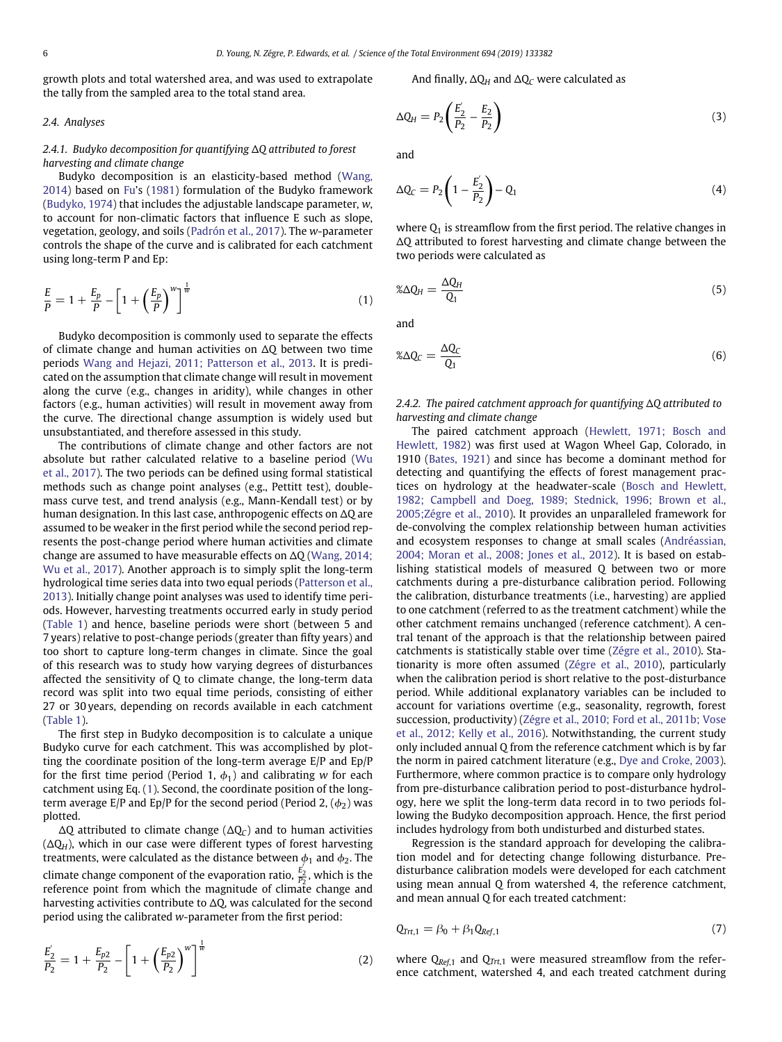growth plots and total watershed area, and was used to extrapolate the tally from the sampled area to the total stand area.

*2.4. Analyses*

# 2.4.1. Budyko decomposition for quantifying ∆Q attributed to forest *harvesting and climate change*

Budyko decomposition is an elasticity-based method (Wang, 2014) based on [Fu'](#page-16-15)s [\(1981\)](#page-16-15) formulation of the Budyko framework [\(Budyko, 1974\)](#page-15-3) that includes the adjustable landscape parameter, *w*, to account for non-climatic factors that influence E such as slope, vegetation, geology, and soils [\(Padrón et al., 2017\)](#page-16-16). The *w*-parameter controls the shape of the curve and is calibrated for each catchment using long-term P and Ep:

<span id="page-6-0"></span>
$$
\frac{E}{P} = 1 + \frac{E_p}{P} - \left[1 + \left(\frac{E_p}{P}\right)^w\right]^{\frac{1}{w}}
$$
\n<sup>(1)</sup>

Budyko decomposition is commonly used to separate the effects of climate change and human activities on  $\Delta$ Q between two time periods [Wang and Hejazi, 2011; Patterson et al., 2013.](#page-17-7) It is predicated on the assumption that climate change will result in movement along the curve (e.g., changes in aridity), while changes in other factors (e.g., human activities) will result in movement away from the curve. The directional change assumption is widely used but unsubstantiated, and therefore assessed in this study.

The contributions of climate change and other factors are not absolute but rather calculated relative to a baseline period (Wu et al., 2017). The two periods can be defined using formal statistical methods such as change point analyses (e.g., Pettitt test), doublemass curve test, and trend analysis (e.g., Mann-Kendall test) or by human designation. In this last case, anthropogenic effects on  $\Delta Q$  are assumed to be weaker in the first period while the second period represents the post-change period where human activities and climate change are assumed to have measurable effects on  $\Delta Q$  (Wang, 2014; Wu et al., 2017). Another approach is to simply split the long-term hydrological time series data into two equal periods (Patterson et al., 2013). Initially change point analyses was used to identify time periods. However, harvesting treatments occurred early in study period [\(Table 1\)](#page-5-0) and hence, baseline periods were short (between 5 and 7 years) relative to post-change periods (greater than fifty years) and too short to capture long-term changes in climate. Since the goal of this research was to study how varying degrees of disturbances affected the sensitivity of Q to climate change, the long-term data record was split into two equal time periods, consisting of either 27 or 30 years, depending on records available in each catchment [\(Table 1\)](#page-5-0).

The first step in Budyko decomposition is to calculate a unique Budyko curve for each catchment. This was accomplished by plotting the coordinate position of the long-term average E/P and Ep/P for the first time period (Period 1,  $\phi_1$ ) and calibrating *w* for each catchment using Eq. [\(1\)](#page-6-0). Second, the coordinate position of the longterm average  $E/P$  and  $Ep/P$  for the second period (Period 2,  $(\phi_2)$  was plotted.

 $\Delta Q$  attributed to climate change ( $\Delta Q_C$ ) and to human activities  $(\Delta Q_H)$ , which in our case were different types of forest harvesting treatments, were calculated as the distance between  $\phi_1$  and  $\phi_2$ . The climate change component of the evaporation ratio,  $\frac{E_2}{P_2}$ , which is the reference point from which the magnitude of climate change and harvesting activities contribute to  $\Delta Q$ , was calculated for the second period using the calibrated *w*-parameter from the first period:

$$
\frac{E_2'}{P_2} = 1 + \frac{E_{p2}}{P_2} - \left[1 + \left(\frac{E_{p2}}{P_2}\right)^w\right]^{\frac{1}{w}}
$$
\n(2)

And finally,  $\Delta Q_H$  and  $\Delta Q_C$  were calculated as

$$
\Delta Q_H = P_2 \left( \frac{E_2}{P_2} - \frac{E_2}{P_2} \right)
$$
 (3)

<span id="page-6-2"></span>and

$$
\Delta Q_C = P_2 \left( 1 - \frac{E_2'}{P_2} \right) - Q_1 \tag{4}
$$

where  $Q_1$  is streamflow from the first period. The relative changes in  $\Delta Q$  attributed to forest harvesting and climate change between the two periods were calculated as

<span id="page-6-1"></span>
$$
\%\Delta Q_H = \frac{\Delta Q_H}{Q_1} \tag{5}
$$

and

$$
\mathscr{L}\Delta Q_{C} = \frac{\Delta Q_{C}}{Q_{1}}\tag{6}
$$

*2.4.2.* The paired catchment approach for quantifying ∆Q attributed to *harvesting and climate change*

<span id="page-6-4"></span><span id="page-6-3"></span>The paired catchment approach (Hewlett, 1971; Bosch and Hewlett, 1982) was first used at Wagon Wheel Gap, Colorado, in 1910 [\(Bates, 1921\)](#page-15-10) and since has become a dominant method for detecting and quantifying the effects of forest management practices on hydrology at the headwater-scale (Bosch and Hewlett, 1982; Campbell and [Doeg, 1989; Stednick, 1](#page-15-1)996; Brown et al., 2005;Zégre et al., 2010). It provides an unparalleled framework for de-convolving the complex relationship between human activities and ecosystem responses to change at small scales (Andréassian, 2004; Moran et al., 2008; Jones et al., 2012). It is based on establishing statistical models of measured Q between two or more catchments during a pre-disturbance calibration period. Following the calibration, disturbance treatments (i.e., harvesting) are applied to one catchment (referred to as the treatment catchment) while the other catchment remains unchanged (reference catchment). A central tenant of the approach is that the relationship between paired catchments is statistically stable over time [\(Zégre et al., 2010\)](#page-17-15). Stationarity is more often assumed [\(Zégre et al., 2010\)](#page-17-15), particularly when the calibration period is short relative to the post-disturbance period. While additional explanatory variables can be included to account for variations overtime (e.g., seasonality, regrowth, forest succession, productivity) (Zégre et al., 2010; Ford et al., 2011b; Vose et al., 2012; Kelly et al., 2016). Notwithstanding, the current study only included annual Q from the reference catchment which is by far the norm in paired catchment literature (e.g., [Dye and Croke, 2003\)](#page-16-17). Furthermore, where common practice is to compare only hydrology from pre-disturbance calibration period to post-disturbance hydrology, here we split the long-term data record in to two periods following the Budyko decomposition approach. Hence, the first period includes hydrology from both undisturbed and disturbed states.

Regression is the standard approach for developing the calibration model and for detecting change following disturbance. Predisturbance calibration models were developed for each catchment using mean annual Q from watershed 4, the reference catchment, and mean annual Q for each treated catchment:

<span id="page-6-5"></span>
$$
Q_{\text{Tr}t,1} = \beta_0 + \beta_1 Q_{\text{Ref},1} \tag{7}
$$

where Q*Ref*,1 and Q*Trt*,1 were measured streamflow from the reference catchment, watershed 4, and each treated catchment during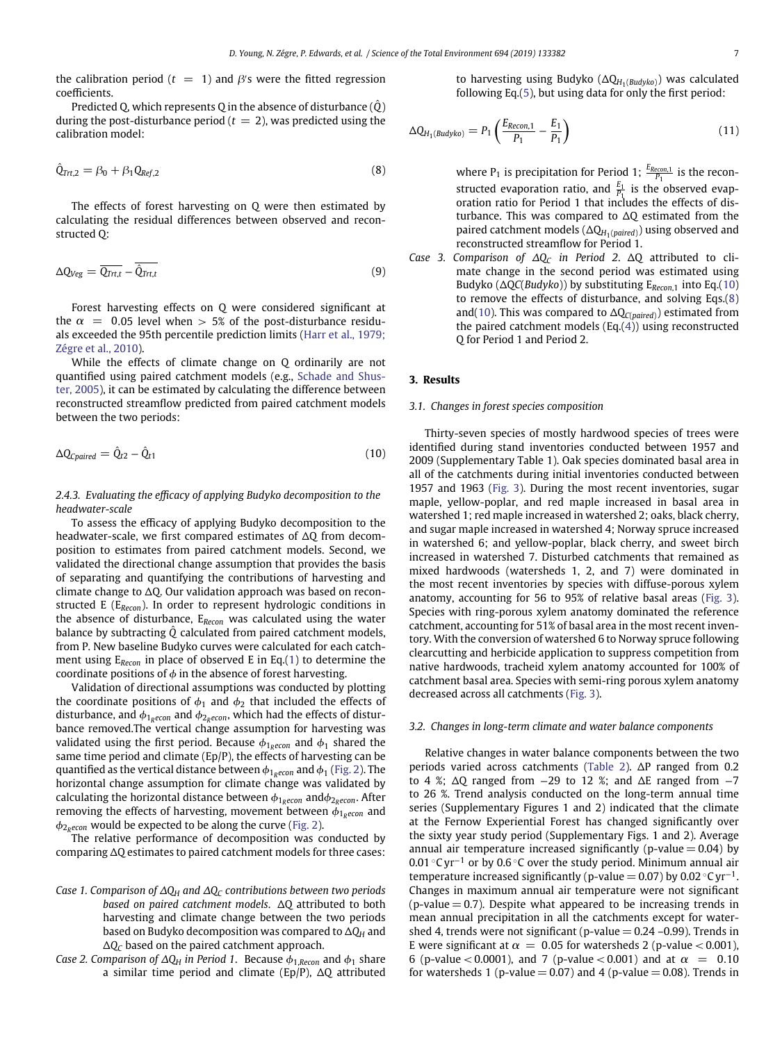the calibration period ( $t = 1$ ) and  $\beta$ 's were the fitted regression coefficients.

Predicted Q, which represents Q in the absence of disturbance  $(\hat{Q})$ during the post-disturbance period  $(t = 2)$ , was predicted using the calibration model:

<span id="page-7-1"></span>
$$
\hat{Q}_{\text{Trt},2} = \beta_0 + \beta_1 Q_{\text{Ref},2} \tag{8}
$$

The effects of forest harvesting on Q were then estimated by calculating the residual differences between observed and reconstructed Q:

$$
\Delta Q_{Veg} = \overline{Q_{Trt,t}} - \overline{\hat{Q}_{Trt,t}} \tag{9}
$$

Forest harvesting effects on Q were considered significant at the  $\alpha$  = 0.05 level when > 5% of the post-disturbance residuals exceeded the 95th percentile prediction limits (Harr et al., 1979; Zégre et al., 2010).

While the effects of climate change on Q ordinarily are not quantified using paired catchment models (e.g., Schade and Shuster, 2005), it can be estimated by calculating the difference between reconstructed streamflow predicted from paired catchment models between the two periods:

<span id="page-7-0"></span>
$$
\Delta Q_{Cpaired} = \hat{Q}_{t2} - \hat{Q}_{t1} \tag{10}
$$

*2.4.3. Evaluating the efficacy of applying Budyko decomposition to the headwater-scale*

To assess the efficacy of applying Budyko decomposition to the headwater-scale, we first compared estimates of  $\Delta Q$  from decomposition to estimates from paired catchment models. Second, we validated the directional change assumption that provides the basis of separating and quantifying the contributions of harvesting and climate change to  $\Delta Q$ . Our validation approach was based on reconstructed E (E*Recon*). In order to represent hydrologic conditions in the absence of disturbance, E*Recon* was calculated using the water balance by subtracting  $\hat{Q}$  calculated from paired catchment models, from P. New baseline Budyko curves were calculated for each catchment using E*Recon* in place of observed E in Eq.[\(1\)](#page-6-0) to determine the coordinate positions of  $\phi$  in the absence of forest harvesting.

Validation of directional assumptions was conducted by plotting the coordinate positions of  $\phi_1$  and  $\phi_2$  that included the effects of disturbance, and  $\phi_{1,recon}$  and  $\phi_{2,recon}$ , which had the effects of disturbance removed.The vertical change assumption for harvesting was validated using the first period. Because  $\phi_{1,recon}$  and  $\phi_1$  shared the same time period and climate (Ep/P), the effects of harvesting can be quantified as the vertical distance between  $\phi_{1,recon}$  and  $\phi_1$  [\(Fig. 2\)](#page-8-0). The horizontal change assumption for climate change was validated by calculating the horizontal distance between  $\phi_{1,recon}$  and $\phi_{2,recon}$ . After removing the effects of harvesting, movement between  $\phi_{1,recon}$  and  $\phi_{2,recon}$  would be expected to be along the curve [\(Fig. 2\)](#page-8-0).

The relative performance of decomposition was conducted by comparing  $\Delta Q$  estimates to paired catchment models for three cases:

- *Case 1. Comparison of*  $\Delta Q_H$  *and*  $\Delta Q_C$  *contributions between two periods based on paired catchment models.*  $\Delta Q$  attributed to both harvesting and climate change between the two periods based on Budyko decomposition was compared to  $\Delta Q_H$  and  $\Delta Q_C$  based on the paired catchment approach.
- *Case 2. Comparison of*  $\Delta Q_H$  *in Period 1.* Because  $\phi_{1,Recon}$  and  $\phi_1$  share a similar time period and climate (Ep/P),  $\Delta Q$  attributed

<span id="page-7-2"></span>to harvesting using Budyko (DQ*H*1(*Budyko*)) was calculated following Eq.[\(5\)](#page-6-1), but using data for only the first period:

$$
\Delta Q_{H_1(Budyko)} = P_1 \left( \frac{E_{Recon,1}}{P_1} - \frac{E_1}{P_1} \right) \tag{11}
$$

<span id="page-7-3"></span>where  $P_1$  is precipitation for Period 1;  $\frac{E_{\text{Recon,1}}}{P_1}$  is the reconstructed evaporation ratio, and  $\frac{E_1}{P_1}$  is the observed evaporation ratio for Period 1 that includes the effects of disturbance. This was compared to  $\Delta Q$  estimated from the paired catchment models ( $\Delta Q_{H_1(paired)}$ ) using observed and reconstructed streamflow for Period 1.

*Case 3. Comparison of*  $\Delta Q_C$  *in Period 2.*  $\Delta Q$  attributed to climate change in the second period was estimated using Budyko (DQ*C*(*Budyko*)) by substituting E*Recon*,1 into Eq.[\(10\)](#page-7-0) to remove the effects of disturbance, and solving Eqs.[\(8\)](#page-7-1) and[\(10\)](#page-7-0). This was compared to  $\Delta Q_{C(paired)})$  estimated from the paired catchment models  $(Eq.(4))$  $(Eq.(4))$  $(Eq.(4))$  using reconstructed Q for Period 1 and Period 2.

#### **3. Results**

### *3.1. Changes in forest species composition*

Thirty-seven species of mostly hardwood species of trees were identified during stand inventories conducted between 1957 and 2009 (Supplementary Table 1). Oak species dominated basal area in all of the catchments during initial inventories conducted between 1957 and 1963 [\(Fig. 3\)](#page-9-0). During the most recent inventories, sugar maple, yellow-poplar, and red maple increased in basal area in watershed 1; red maple increased in watershed 2; oaks, black cherry, and sugar maple increased in watershed 4; Norway spruce increased in watershed 6; and yellow-poplar, black cherry, and sweet birch increased in watershed 7. Disturbed catchments that remained as mixed hardwoods (watersheds 1, 2, and 7) were dominated in the most recent inventories by species with diffuse-porous xylem anatomy, accounting for 56 to 95% of relative basal areas [\(Fig. 3\)](#page-9-0). Species with ring-porous xylem anatomy dominated the reference catchment, accounting for 51% of basal area in the most recent inventory. With the conversion of watershed 6 to Norway spruce following clearcutting and herbicide application to suppress competition from native hardwoods, tracheid xylem anatomy accounted for 100% of catchment basal area. Species with semi-ring porous xylem anatomy decreased across all catchments [\(Fig. 3\)](#page-9-0).

# *3.2. Changes in long-term climate and water balance components*

Relative changes in water balance components between the two periods varied across catchments [\(Table 2\)](#page-10-0).  $\Delta P$  ranged from 0.2 to 4 %;  $\Delta$ O ranged from −29 to 12 %; and  $\Delta$ E ranged from −7 to 26 %. Trend analysis conducted on the long-term annual time series (Supplementary Figures 1 and 2) indicated that the climate at the Fernow Experiential Forest has changed significantly over the sixty year study period (Supplementary Figs. 1 and 2). Average annual air temperature increased significantly (p-value  $= 0.04$ ) by 0.01 °C yr<sup>−1</sup> or by 0.6 °C over the study period. Minimum annual air temperature increased significantly (p-value =  $0.07$ ) by  $0.02 \degree$ C yr<sup>-1</sup>. Changes in maximum annual air temperature were not significant  $(p-value = 0.7)$ . Despite what appeared to be increasing trends in mean annual precipitation in all the catchments except for watershed 4, trends were not significant (p-value  $= 0.24$  –0.99). Trends in E were significant at  $\alpha = 0.05$  for watersheds 2 (p-value < 0.001), 6 (p-value < 0.0001), and 7 (p-value < 0.001) and at  $\alpha = 0.10$ for watersheds 1 (p-value  $= 0.07$ ) and 4 (p-value  $= 0.08$ ). Trends in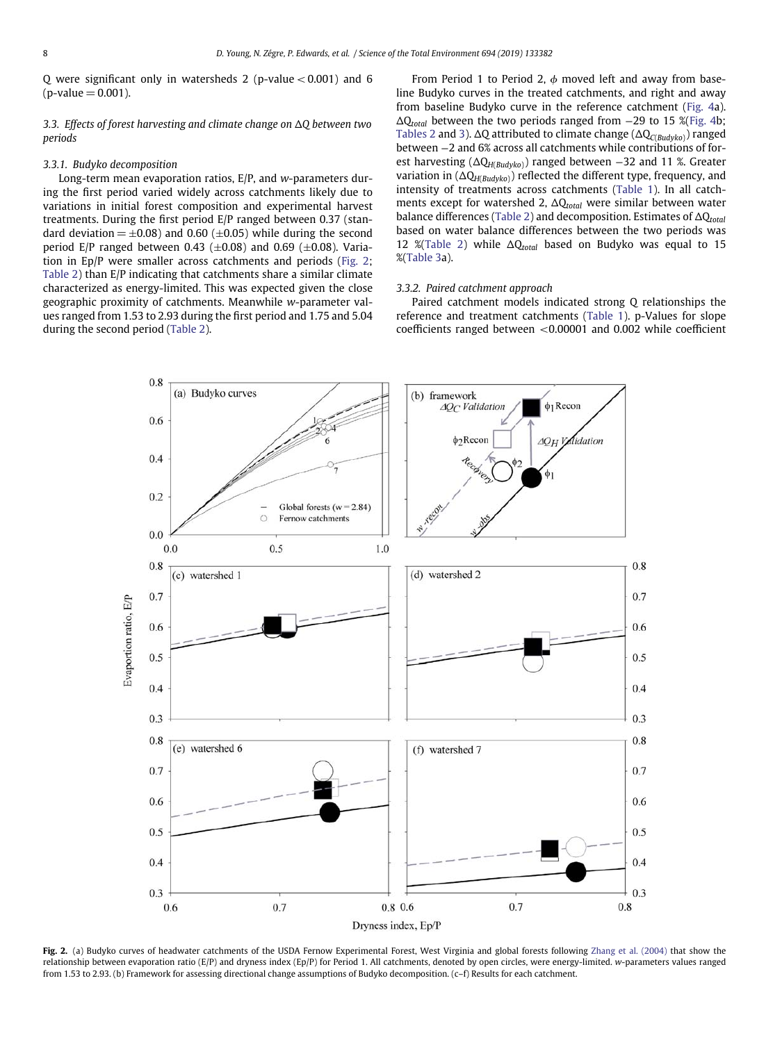Q were significant only in watersheds 2 (p-value*<*0.001) and 6  $(p$ -value = 0.001).

*3.3. Effects of forest harvesting and climate change on* D*Q between two periods*

#### *3.3.1. Budyko decomposition*

Long-term mean evaporation ratios, E/P, and *w*-parameters during the first period varied widely across catchments likely due to variations in initial forest composition and experimental harvest treatments. During the first period E/P ranged between 0.37 (standard deviation  $= \pm 0.08$ ) and 0.60 ( $\pm 0.05$ ) while during the second period E/P ranged between 0.43 ( $\pm$ 0.08) and 0.69 ( $\pm$ 0.08). Variation in Ep/P were smaller across catchments and periods [\(Fig. 2;](#page-8-0) [Table 2\)](#page-10-0) than E/P indicating that catchments share a similar climate characterized as energy-limited. This was expected given the close geographic proximity of catchments. Meanwhile *w*-parameter values ranged from 1.53 to 2.93 during the first period and 1.75 and 5.04 during the second period [\(Table 2\)](#page-10-0).

From Period 1 to Period 2, *0* moved left and away from baseline Budyko curves in the treated catchments, and right and away from baseline Budyko curve in the reference catchment [\(Fig. 4a](#page-12-0)).  $\Delta Q_{total}$  between the two periods ranged from −29 to 15 %[\(Fig. 4b](#page-12-0); [Tables 2](#page-10-0) and [3\)](#page-13-0). ΔQ attributed to climate change (ΔQ<sub>C(*Budyko*)</sub>) ranged between −2 and 6% across all catchments while contributions of forest harvesting (DQ*H*(*Budyko*)) ranged between −32 and 11 %. Greater variation in (DQ*H*(*Budyko*)) reflected the different type, frequency, and intensity of treatments across catchments [\(Table 1\)](#page-5-0). In all catchments except for watershed 2, ΔQ<sub>total</sub> were similar between water balance differences [\(Table 2\)](#page-10-0) and decomposition. Estimates of ΔQ<sub>total</sub> based on water balance differences between the two periods was 12 %[\(Table 2\)](#page-10-0) while  $\Delta Q_{total}$  based on Budyko was equal to 15 %[\(Table 3a](#page-13-0)).

### *3.3.2. Paired catchment approach*

Paired catchment models indicated strong Q relationships the reference and treatment catchments [\(Table 1\)](#page-5-0). p-Values for slope coefficients ranged between *<*0.00001 and 0.002 while coefficient



<span id="page-8-0"></span>Fig. 2. (a) Budyko curves of headwater catchments of the USDA Fernow Experimental Forest, West Virginia and global forests following [Zhang et al. \(2004\)](#page-17-16) that show the relationship between evaporation ratio (E/P) and dryness index (Ep/P) for Period 1. All catchments, denoted by open circles, were energy-limited. *w*-parameters values ranged from 1.53 to 2.93. (b) Framework for assessing directional change assumptions of Budyko decomposition. (c–f) Results for each catchment.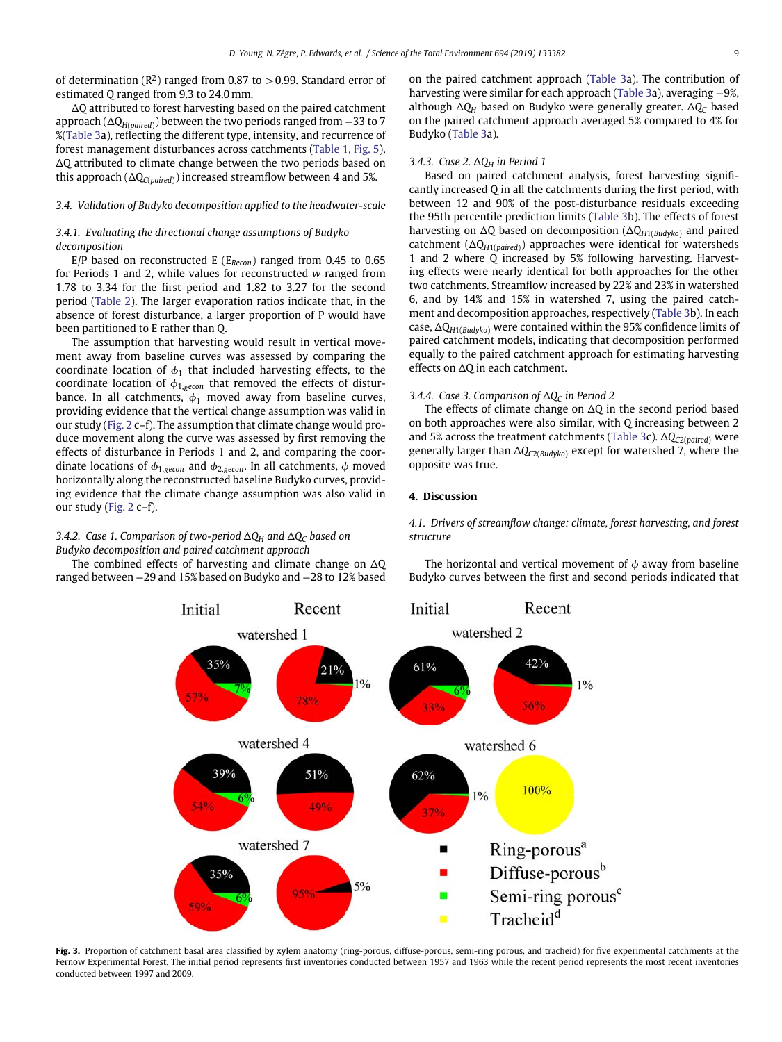<span id="page-9-1"></span>of determination  $(R^2)$  ranged from 0.87 to  $>$  0.99. Standard error of estimated Q ranged from 9.3 to 24.0 mm.

 $\Delta Q$  attributed to forest harvesting based on the paired catchment approach (DQ*H*(*paired*)) between the two periods ranged from −33 to 7 %[\(Table 3a](#page-13-0)), reflecting the different type, intensity, and recurrence of forest management disturbances across catchments [\(Table 1,](#page-5-0) [Fig. 5\)](#page-14-0).  $\Delta Q$  attributed to climate change between the two periods based on this approach  $(\Delta Q_{C(paired)})$  increased streamflow between 4 and 5%.

# *3.4. Validation of Budyko decomposition applied to the headwater-scale*

# *3.4.1. Evaluating the directional change assumptions of Budyko decomposition*

E/P based on reconstructed E (E*Recon*) ranged from 0.45 to 0.65 for Periods 1 and 2, while values for reconstructed *w* ranged from 1.78 to 3.34 for the first period and 1.82 to 3.27 for the second period [\(Table 2\)](#page-10-0). The larger evaporation ratios indicate that, in the absence of forest disturbance, a larger proportion of P would have been partitioned to E rather than Q.

The assumption that harvesting would result in vertical movement away from baseline curves was assessed by comparing the coordinate location of  $\phi_1$  that included harvesting effects, to the coordinate location of  $\phi_{1,recon}$  that removed the effects of disturbance. In all catchments,  $\phi_1$  moved away from baseline curves, providing evidence that the vertical change assumption was valid in our study [\(Fig. 2](#page-8-0) c–f). The assumption that climate change would produce movement along the curve was assessed by first removing the effects of disturbance in Periods 1 and 2, and comparing the coordinate locations of  $\phi_{1,Recon}$  and  $\phi_{2,Recon}$ . In all catchments,  $\phi$  moved horizontally along the reconstructed baseline Budyko curves, providing evidence that the climate change assumption was also valid in our study [\(Fig. 2](#page-8-0) c–f).

# *3.4.2. Case 1. Comparison of two-period*  $\Delta Q_H$  *and*  $\Delta Q_C$  *based on Budyko decomposition and paired catchment approach*

The combined effects of harvesting and climate change on  $\Delta Q$ ranged between −29 and 15% based on Budyko and −28 to 12% based

on the paired catchment approach [\(Table 3a](#page-13-0)). The contribution of harvesting were similar for each approach [\(Table 3a](#page-13-0)), averaging −9%, although  $\Delta Q_H$  based on Budyko were generally greater.  $\Delta Q_C$  based on the paired catchment approach averaged 5% compared to 4% for Budyko [\(Table 3a](#page-13-0)).

# *3.4.3. Case 2.* ∆Q<sub>H</sub> *in Period 1*

Based on paired catchment analysis, forest harvesting significantly increased Q in all the catchments during the first period, with between 12 and 90% of the post-disturbance residuals exceeding the 95th percentile prediction limits [\(Table 3b](#page-13-0)). The effects of forest harvesting on  $\Delta Q$  based on decomposition ( $\Delta Q_{H1(Budyko)}$  and paired catchment  $(\Delta Q_{H1(paire d)})$  approaches were identical for watersheds 1 and 2 where Q increased by 5% following harvesting. Harvesting effects were nearly identical for both approaches for the other two catchments. Streamflow increased by 22% and 23% in watershed 6, and by 14% and 15% in watershed 7, using the paired catchment and decomposition approaches, respectively [\(Table 3b](#page-13-0)). In each case,  $\Delta Q_{H1(Budvko)}$  were contained within the 95% confidence limits of paired catchment models, indicating that decomposition performed equally to the paired catchment approach for estimating harvesting effects on  $\Delta$ O in each catchment.

# 3.4.4. Case 3. Comparison of  $\Delta Q_C$  *in Period 2*

The effects of climate change on  $\Delta$ Q in the second period based on both approaches were also similar, with Q increasing between 2 and 5% across the treatment catchments [\(Table 3c](#page-13-0)). ΔQ<sub>C2(paired</sub>) were generally larger than  $ΔQ<sub>C2(Budyko)</sub>$  except for watershed 7, where the opposite was true.

## **4. Discussion**

*4.1. Drivers of streamflow change: climate, forest harvesting, and forest structure*

The horizontal and vertical movement of  $\phi$  away from baseline Budyko curves between the first and second periods indicated that



<span id="page-9-0"></span>Fig. 3. Proportion of catchment basal area classified by xylem anatomy (ring-porous, diffuse-porous, semi-ring porous, and tracheid) for five experimental catchments at the Fernow Experimental Forest. The initial period represents first inventories conducted between 1957 and 1963 while the recent period represents the most recent inventories conducted between 1997 and 2009.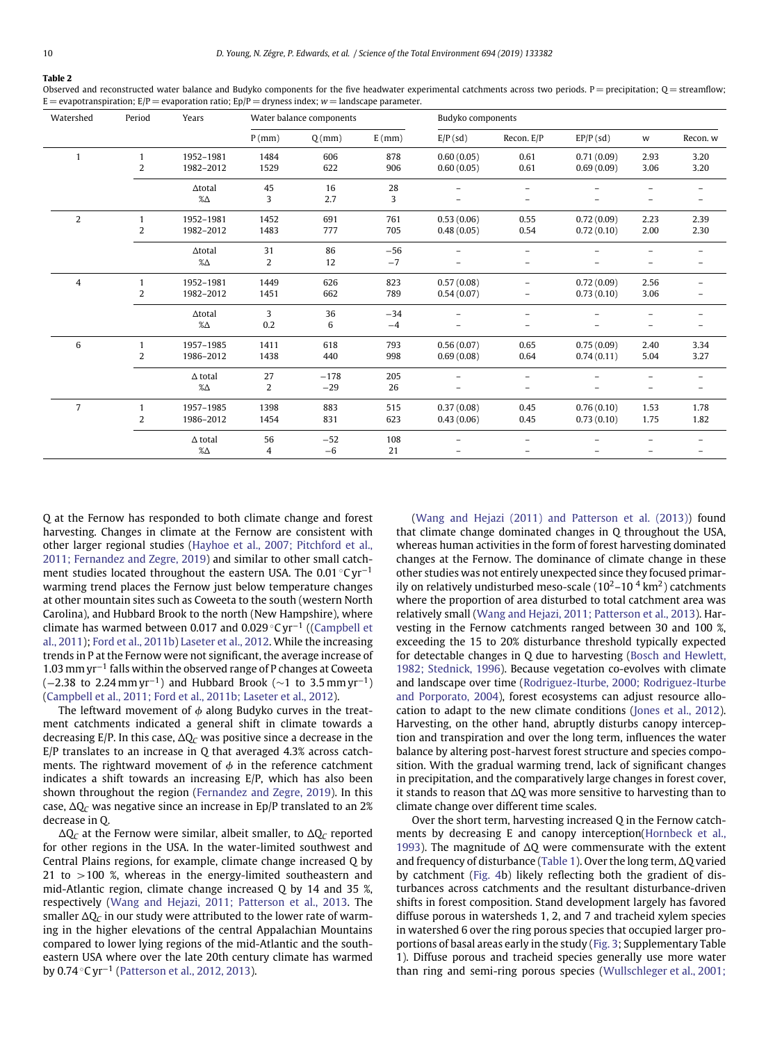# **Table 2**

#### <span id="page-10-0"></span>Observed and reconstructed water balance and Budyko components for the five headwater experimental catchments across two periods. P = precipitation;  $Q$  = streamflow;  $E =$  evapotranspiration;  $E/P =$  evaporation ratio;  $Ep/P =$  dryness index; *w* = landscape parameter.

| Watershed      | Period         | Years          | Water balance components |          |          | Budyko components |                          |             |      |          |
|----------------|----------------|----------------|--------------------------|----------|----------|-------------------|--------------------------|-------------|------|----------|
|                |                |                | $P$ (mm)                 | $Q$ (mm) | $E$ (mm) | $E/P$ (sd)        | Recon. E/P               | $EP/P$ (sd) | w    | Recon. w |
| $\mathbf{1}$   | $\mathbf{1}$   | 1952-1981      | 1484                     | 606      | 878      | 0.60(0.05)        | 0.61                     | 0.71(0.09)  | 2.93 | 3.20     |
|                | $\overline{2}$ | 1982-2012      | 1529                     | 622      | 906      | 0.60(0.05)        | 0.61                     | 0.69(0.09)  | 3.06 | 3.20     |
|                |                | $\Delta$ total | 45                       | 16       | 28       |                   |                          |             |      |          |
|                |                | $\% \Delta$    | 3                        | 2.7      | 3        |                   |                          |             |      |          |
| $\overline{2}$ | $\mathbf{1}$   | 1952-1981      | 1452                     | 691      | 761      | 0.53(0.06)        | 0.55                     | 0.72(0.09)  | 2.23 | 2.39     |
|                | 2              | 1982-2012      | 1483                     | 777      | 705      | 0.48(0.05)        | 0.54                     | 0.72(0.10)  | 2.00 | 2.30     |
|                |                | $\Delta$ total | 31                       | 86       | $-56$    |                   | $\overline{\phantom{0}}$ |             |      |          |
|                |                | $\% \Delta$    | 2                        | 12       | $-7$     |                   |                          |             |      |          |
| $\overline{4}$ | 1              | 1952-1981      | 1449                     | 626      | 823      | 0.57(0.08)        |                          | 0.72(0.09)  | 2.56 |          |
|                | 2              | 1982-2012      | 1451                     | 662      | 789      | 0.54(0.07)        | -                        | 0.73(0.10)  | 3.06 |          |
|                |                | $\Delta$ total | 3                        | 36       | $-34$    |                   |                          |             |      |          |
|                |                | $\% \Delta$    | 0.2                      | 6        | $-4$     |                   |                          |             | -    |          |
| 6              | $\mathbf{1}$   | 1957-1985      | 1411                     | 618      | 793      | 0.56(0.07)        | 0.65                     | 0.75(0.09)  | 2.40 | 3.34     |
|                | 2              | 1986-2012      | 1438                     | 440      | 998      | 0.69(0.08)        | 0.64                     | 0.74(0.11)  | 5.04 | 3.27     |
|                |                | $\Delta$ total | 27                       | $-178$   | 205      |                   |                          |             |      |          |
|                |                | $\% \Delta$    | 2                        | $-29$    | 26       |                   | —                        |             |      |          |
| $\overline{7}$ | 1              | 1957-1985      | 1398                     | 883      | 515      | 0.37(0.08)        | 0.45                     | 0.76(0.10)  | 1.53 | 1.78     |
|                | 2              | 1986-2012      | 1454                     | 831      | 623      | 0.43(0.06)        | 0.45                     | 0.73(0.10)  | 1.75 | 1.82     |
|                |                | $\Delta$ total | 56                       | $-52$    | 108      |                   | $\overline{\phantom{0}}$ |             |      |          |
|                |                | $\% \Delta$    | 4                        | $-6$     | 21       |                   |                          |             |      |          |

Q at the Fernow has responded to both climate change and forest harvesting. Changes in climate at the Fernow are consistent with other larger regional studies (Hayhoe et al., 2007; Pitchford et al., 2011; Fernandez and Zegre, 2019) and similar to other small catchment studies located throughout the eastern USA. The 0.01 ◦C yr−<sup>1</sup> warming trend places the Fernow just below temperature changes at other mountain sites such as Coweeta to the south (western North Carolina), and Hubbard Brook to the north (New Hampshire), where climate has warmed between 0.017 and 0.029 ◦C yr−<sup>1</sup> ((Campbell et al., 2011); [Ford et al., 2011b\)](#page-16-18) [Laseter et al., 2012.](#page-16-19) While the increasing trends in P at the Fernow were not significant, the average increase of 1.03 mm yr−<sup>1</sup> falls within the observed range of P changes at Coweeta  $(-2.38 \text{ to } 2.24 \text{ mm yr}^{-1})$  and Hubbard Brook ( $\sim$ 1 to 3.5 mm yr<sup>-1</sup>) [\(Campbell et al., 2011; Ford et al., 2011b; Laseter et al., 2012\)](#page-15-0).

The leftward movement of  $\phi$  along Budyko curves in the treatment catchments indicated a general shift in climate towards a decreasing  $E/P$ . In this case,  $\Delta Q_C$  was positive since a decrease in the E/P translates to an increase in Q that averaged 4.3% across catchments. The rightward movement of  $\phi$  in the reference catchment indicates a shift towards an increasing E/P, which has also been shown throughout the region [\(Fernandez and Zegre, 2019\)](#page-16-20). In this case,  $\Delta Q_C$  was negative since an increase in Ep/P translated to an 2% decrease in Q.

 $\Delta Q_C$  at the Fernow were similar, albeit smaller, to  $\Delta Q_C$  reported for other regions in the USA. In the water-limited southwest and Central Plains regions, for example, climate change increased Q by 21 to *>*100 %, whereas in the energy-limited southeastern and mid-Atlantic region, climate change increased Q by 14 and 35 %, respectively [\(Wang and Hejazi, 2011; Patterson et al., 2013.](#page-17-7) The smaller  $\Delta Q_C$  in our study were attributed to the lower rate of warming in the higher elevations of the central Appalachian Mountains compared to lower lying regions of the mid-Atlantic and the southeastern USA where over the late 20th century climate has warmed by 0.74 ◦C yr−<sup>1</sup> [\(Patterson et al., 2012, 2013\)](#page-16-21).

[\(Wang and Hejazi \(2011\) and Patterson et al. \(2013\)\)](#page-17-7) found that climate change dominated changes in Q throughout the USA, whereas human activities in the form of forest harvesting dominated changes at the Fernow. The dominance of climate change in these other studies was not entirely unexpected since they focused primarily on relatively undisturbed meso-scale  $(10^2-10^4 \text{ km}^2)$  catchments where the proportion of area disturbed to total catchment area was relatively small [\(Wang and Hejazi, 2011; Patterson et al., 2013\)](#page-17-7). Harvesting in the Fernow catchments ranged between 30 and 100 %, exceeding the 15 to 20% disturbance threshold typically expected for detectable changes in Q due to harvesting (Bosch and Hewlett, 1982; Stednick, 1996). Because vegetation co-evolves with climate and landscape over time (Rodriguez-Iturbe, 2000; Rodriguez-Iturbe and Porporato, 2004), forest ecosystems can adjust resource allocation to adapt to the new climate conditions [\(Jones et al., 2012\)](#page-16-1). Harvesting, on the other hand, abruptly disturbs canopy interception and transpiration and over the long term, influences the water balance by altering post-harvest forest structure and species composition. With the gradual warming trend, lack of significant changes in precipitation, and the comparatively large changes in forest cover, it stands to reason that  $\Delta Q$  was more sensitive to harvesting than to climate change over different time scales.

Over the short term, harvesting increased Q in the Fernow catchments by decreasing E and canopy interception(Hornbeck et al., 1993). The magnitude of  $\Delta$ Q were commensurate with the extent and frequency of disturbance [\(Table 1\)](#page-5-0). Over the long term,  $\Delta$ O varied by catchment [\(Fig. 4b](#page-12-0)) likely reflecting both the gradient of disturbances across catchments and the resultant disturbance-driven shifts in forest composition. Stand development largely has favored diffuse porous in watersheds 1, 2, and 7 and tracheid xylem species in watershed 6 over the ring porous species that occupied larger proportions of basal areas early in the study [\(Fig. 3;](#page-9-0) Supplementary Table 1). Diffuse porous and tracheid species generally use more water than ring and semi-ring porous species [\(Wullschleger et al., 2001;](#page-17-1)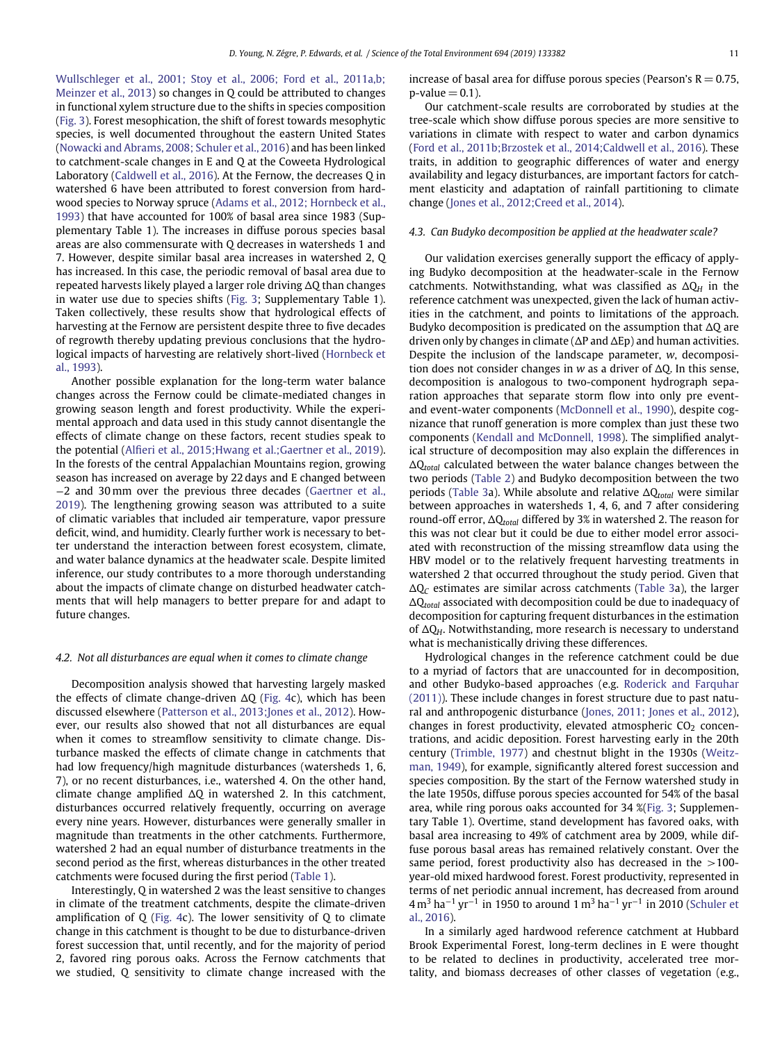Wullschleger et al., 2001; Stoy et al., 2006; Ford et al., 2011a,b; Meinzer et al., 2013) so changes in Q could be attributed to changes in functional xylem structure due to the shifts in species composition [\(Fig. 3\)](#page-9-0). Forest mesophication, the shift of forest towards mesophytic species, is well documented throughout the eastern United States [\(Nowacki and Abrams, 2008; Schuler et al., 2016\)](#page-16-22) and has been linked to catchment-scale changes in E and Q at the Coweeta Hydrological Laboratory [\(Caldwell et al., 2016\)](#page-15-11). At the Fernow, the decreases Q in watershed 6 have been attributed to forest conversion from hardwood species to Norway spruce (Adams et al., 2012; Hornbeck et al., 1993) that have accounted for 100% of basal area since 1983 (Supplementary Table 1). The increases in diffuse porous species basal areas are also commensurate with Q decreases in watersheds 1 and 7. However, despite similar basal area increases in watershed 2, Q has increased. In this case, the periodic removal of basal area due to repeated harvests likely played a larger role driving  $\Delta Q$  than changes in water use due to species shifts [\(Fig. 3;](#page-9-0) Supplementary Table 1). Taken collectively, these results show that hydrological effects of harvesting at the Fernow are persistent despite three to five decades of regrowth thereby updating previous conclusions that the hydrological impacts of harvesting are relatively short-lived (Hornbeck et al., 1993).

Another possible explanation for the long-term water balance changes across the Fernow could be climate-mediated changes in growing season length and forest productivity. While the experimental approach and data used in this study cannot disentangle the effects of climate change on these factors, recent studies speak to the potential [\(Alfieri et al., 2015;Hwang et al.;Gaertner et al., 2019\)](#page-15-12). In the forests of the central Appalachian Mountains region, growing season has increased on average by 22 days and E changed between −2 and 30 mm over the previous three decades (Gaertner et al., 2019). The lengthening growing season was attributed to a suite of climatic variables that included air temperature, vapor pressure deficit, wind, and humidity. Clearly further work is necessary to better understand the interaction between forest ecosystem, climate, and water balance dynamics at the headwater scale. Despite limited inference, our study contributes to a more thorough understanding about the impacts of climate change on disturbed headwater catchments that will help managers to better prepare for and adapt to future changes.

### *4.2. Not all disturbances are equal when it comes to climate change*

Decomposition analysis showed that harvesting largely masked the effects of climate change-driven  $\Delta Q$  [\(Fig. 4c](#page-12-0)), which has been discussed elsewhere [\(Patterson et al., 2013;Jones et al., 2012\)](#page-17-17). However, our results also showed that not all disturbances are equal when it comes to streamflow sensitivity to climate change. Disturbance masked the effects of climate change in catchments that had low frequency/high magnitude disturbances (watersheds 1, 6, 7), or no recent disturbances, i.e., watershed 4. On the other hand, climate change amplified  $\Delta Q$  in watershed 2. In this catchment, disturbances occurred relatively frequently, occurring on average every nine years. However, disturbances were generally smaller in magnitude than treatments in the other catchments. Furthermore, watershed 2 had an equal number of disturbance treatments in the second period as the first, whereas disturbances in the other treated catchments were focused during the first period [\(Table 1\)](#page-5-0).

Interestingly, Q in watershed 2 was the least sensitive to changes in climate of the treatment catchments, despite the climate-driven amplification of  $Q$  [\(Fig. 4c](#page-12-0)). The lower sensitivity of  $Q$  to climate change in this catchment is thought to be due to disturbance-driven forest succession that, until recently, and for the majority of period 2, favored ring porous oaks. Across the Fernow catchments that we studied, Q sensitivity to climate change increased with the increase of basal area for diffuse porous species (Pearson's  $R = 0.75$ ,  $p$ -value $= 0.1$ ).

Our catchment-scale results are corroborated by studies at the tree-scale which show diffuse porous species are more sensitive to variations in climate with respect to water and carbon dynamics [\(Ford et al., 2011b;Brzostek et al., 2014;Caldwell et al., 2016\)](#page-16-18). These traits, in addition to geographic differences of water and energy availability and legacy disturbances, are important factors for catchment elasticity and adaptation of rainfall partitioning to climate change [\(Jones et al., 2012;Creed et al., 2014\)](#page-16-1).

### *4.3. Can Budyko decomposition be applied at the headwater scale?*

Our validation exercises generally support the efficacy of applying Budyko decomposition at the headwater-scale in the Fernow catchments. Notwithstanding, what was classified as  $\Delta Q_H$  in the reference catchment was unexpected, given the lack of human activities in the catchment, and points to limitations of the approach. Budyko decomposition is predicated on the assumption that  $\Delta Q$  are driven only by changes in climate ( $\Delta P$  and  $\Delta E$ p) and human activities. Despite the inclusion of the landscape parameter, *w*, decomposition does not consider changes in  $w$  as a driver of  $\Delta Q$ . In this sense, decomposition is analogous to two-component hydrograph separation approaches that separate storm flow into only pre eventand event-water components [\(McDonnell et al., 1990\)](#page-16-23), despite cognizance that runoff generation is more complex than just these two components [\(Kendall and McDonnell, 1998\)](#page-16-24). The simplified analytical structure of decomposition may also explain the differences in DQ*total* calculated between the water balance changes between the two periods [\(Table 2\)](#page-10-0) and Budyko decomposition between the two periods [\(Table 3a](#page-13-0)). While absolute and relative DQ*total* were similar between approaches in watersheds 1, 4, 6, and 7 after considering round-off error, ΔQ<sub>total</sub> differed by 3% in watershed 2. The reason for this was not clear but it could be due to either model error associated with reconstruction of the missing streamflow data using the HBV model or to the relatively frequent harvesting treatments in watershed 2 that occurred throughout the study period. Given that  $\Delta Q_C$  estimates are similar across catchments [\(Table 3a](#page-13-0)), the larger  $\Delta Q_{total}$  associated with decomposition could be due to inadequacy of decomposition for capturing frequent disturbances in the estimation of  $\Delta Q_H$ . Notwithstanding, more research is necessary to understand what is mechanistically driving these differences.

Hydrological changes in the reference catchment could be due to a myriad of factors that are unaccounted for in decomposition, and other Budyko-based approaches (e.g. Roderick and Farquhar (2011)). These include changes in forest structure due to past natural and anthropogenic disturbance [\(Jones, 2011; Jones et al., 2012\)](#page-16-2), changes in forest productivity, elevated atmospheric  $CO<sub>2</sub>$  concentrations, and acidic deposition. Forest harvesting early in the 20th century [\(Trimble, 1977\)](#page-17-10) and chestnut blight in the 1930s (Weitzman, 1949), for example, significantly altered forest succession and species composition. By the start of the Fernow watershed study in the late 1950s, diffuse porous species accounted for 54% of the basal area, while ring porous oaks accounted for 34 %[\(Fig. 3;](#page-9-0) Supplementary Table 1). Overtime, stand development has favored oaks, with basal area increasing to 49% of catchment area by 2009, while diffuse porous basal areas has remained relatively constant. Over the same period, forest productivity also has decreased in the *>*100 year-old mixed hardwood forest. Forest productivity, represented in terms of net periodic annual increment, has decreased from around  $4 \text{ m}^3$  ha<sup>-1</sup> yr<sup>-1</sup> in 1950 to around 1 m<sup>3</sup> ha<sup>-1</sup> yr<sup>-1</sup> in 2010 (Schuler et al., 2016).

In a similarly aged hardwood reference catchment at Hubbard Brook Experimental Forest, long-term declines in E were thought to be related to declines in productivity, accelerated tree mortality, and biomass decreases of other classes of vegetation (e.g.,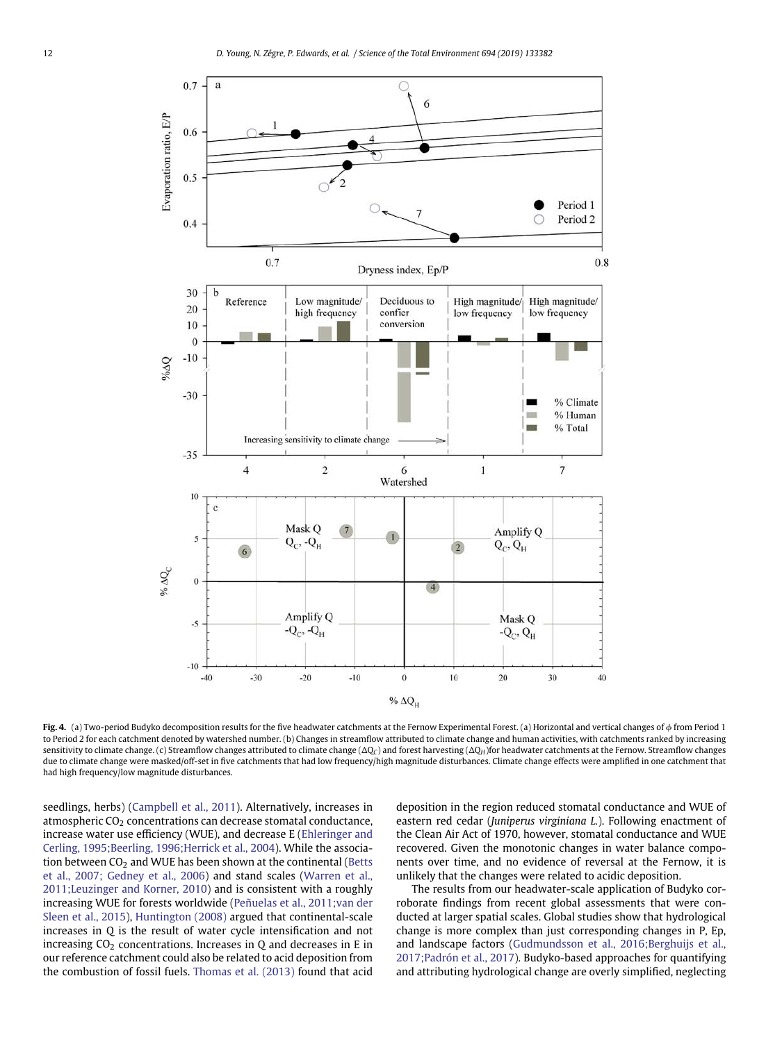

<span id="page-12-0"></span>**Fig. 4.** (a) Two-period Budyko decomposition results for the five headwater catchments at the Fernow Experimental Forest. (a) Horizontal and vertical changes of *0* from Period 1 to Period 2 for each catchment denoted by watershed number. (b) Changes in streamflow attributed to climate change and human activities, with catchments ranked by increasing sensitivity to climate change. (c) Streamflow changes attributed to climate change ( $\Delta Q_C$ ) and forest harvesting ( $\Delta Q_H$ )for headwater catchments at the Fernow. Streamflow changes due to climate change were masked/off-set in five catchments that had low frequency/high magnitude disturbances. Climate change effects were amplified in one catchment that had high frequency/low magnitude disturbances.

seedlings, herbs) [\(Campbell et al., 2011\)](#page-15-0). Alternatively, increases in atmospheric  $CO<sub>2</sub>$  concentrations can decrease stomatal conductance, increase water use efficiency (WUE), and decrease E (Ehleringer and Cerling, 1995;Beerling, 1996;Herrick et al., 2004). While the association between  $CO<sub>2</sub>$  and WUE has been shown at the continental (Betts et al., 2007; Gedney et al., 2006) and stand scales (Warren et al., 2011;Leuzinger and Korner, 2010) and is consistent with a roughly increasing WUE for forests worldwide (Peñuelas et al., 2011;van der Sleen et al., 2015), [Huntington \(2008\)](#page-16-25) argued that continental-scale increases in Q is the result of water cycle intensification and not increasing  $CO<sub>2</sub>$  concentrations. Increases in Q and decreases in E in our reference catchment could also be related to acid deposition from the combustion of fossil fuels. [Thomas et al. \(2013\)](#page-17-18) found that acid

deposition in the region reduced stomatal conductance and WUE of eastern red cedar (*Juniperus virginiana L.*). Following enactment of the Clean Air Act of 1970, however, stomatal conductance and WUE recovered. Given the monotonic changes in water balance components over time, and no evidence of reversal at the Fernow, it is unlikely that the changes were related to acidic deposition.

The results from our headwater-scale application of Budyko corroborate findings from recent global assessments that were conducted at larger spatial scales. Global studies show that hydrological change is more complex than just corresponding changes in P, Ep, and landscape factors (Gudmundsson et al., 2016;Berghuijs et al., 2017;Padrón et al., 2017). Budyko-based approaches for quantifying and attributing hydrological change are overly simplified, neglecting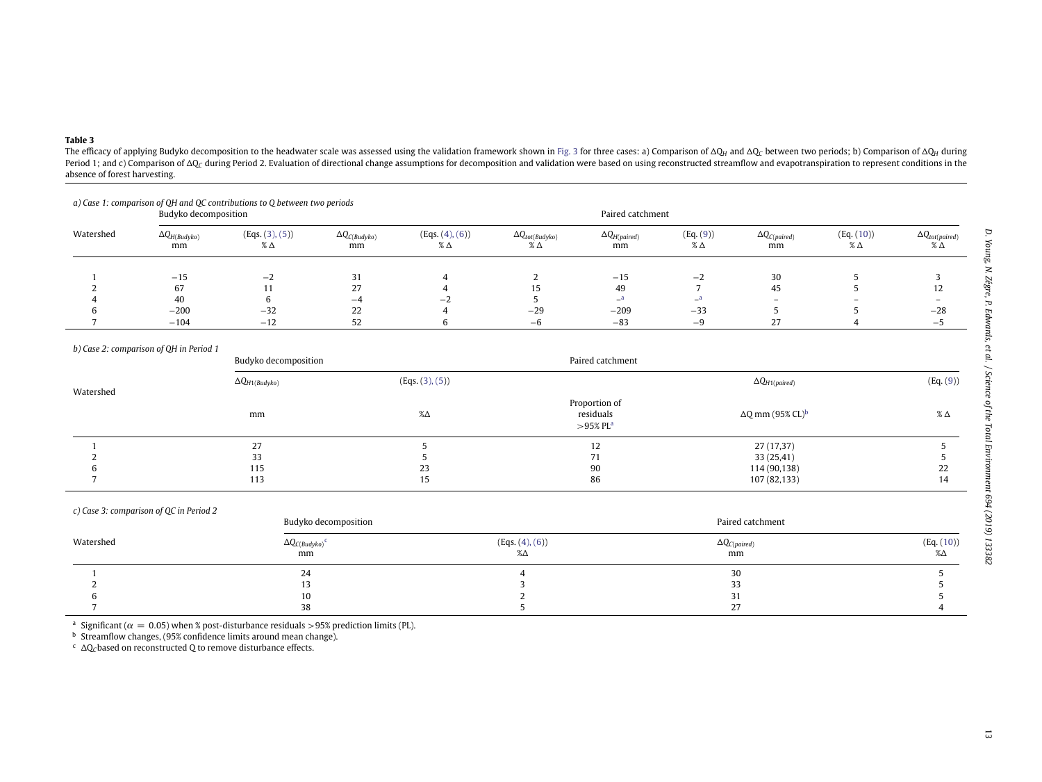# **Table 3**

The efficacy of applying Budyko decomposition to the headwater scale was assessed using the validation framework shown in [Fig.](#page-9-1) 3 for three cases: a) Comparison of  $\Delta Q_H$  and  $\Delta Q_C$  between two periods; b) Comparison of  $\$ Period 1; and c) Comparison of AQ<sub>C</sub> during Period 2. Evaluation of directional change assumptions for decomposition and validation were based on using reconstructed streamflow and evapotranspiration to represent condition absence of forest harvesting.

|           | Budyko decomposition         |                                  |                              |                        |                                 |                              | Paired catchment           |                               |                             |                                  |  |
|-----------|------------------------------|----------------------------------|------------------------------|------------------------|---------------------------------|------------------------------|----------------------------|-------------------------------|-----------------------------|----------------------------------|--|
| Watershed | $\Delta Q_{H(Budyko)}$<br>mm | (Eqs. (3), (5))<br>$\%$ $\Delta$ | $\Delta Q_{C(Budyko)}$<br>mm | (Eqs. (4), (6))<br>% Δ | $\Delta Q_{tot(Budyko)}$<br>% Δ | $\Delta Q_{H(paired)}$<br>mm | (Eq. (9))<br>$\%$ $\Delta$ | $\Delta Q_{C(paireed)}$<br>mm | (Eq. (10))<br>$\%$ $\Delta$ | $\Delta Q_{tot(paire d)}$<br>% Δ |  |
|           | $-15$                        | $-2$                             | 31                           |                        |                                 | $-15$                        | $-2$                       | 30                            |                             |                                  |  |
|           | 67                           |                                  | 27                           |                        |                                 | 49                           |                            | 45                            |                             | 12                               |  |
|           | 40                           |                                  | -4                           | — .                    |                                 | $-^a$                        | _a                         |                               | -                           |                                  |  |
|           | $-200$                       | $-32$                            | 22                           |                        | $-29$                           | $-209$                       | $-33$                      |                               |                             | $-28$                            |  |
|           | $-104$                       | $-12$                            | 52                           |                        | —ხ                              | $-83$                        | -9                         | 27                            |                             | — ה                              |  |

#### *b) Case 2: comparison of QH in Period 1*

|           | Budyko decomposition    |                 | Paired catchment                          |                                     |               |  |  |
|-----------|-------------------------|-----------------|-------------------------------------------|-------------------------------------|---------------|--|--|
| Watershed | $\Delta Q_{H1(Budyko)}$ | (Eqs. (3), (5)) |                                           | $\Delta Q_{H1(paired)}$             | (Eq. (9))     |  |  |
|           | mm                      | $% \triangle$   | Proportion of<br>residuals<br>$>$ 95% PLa | $\Delta Q$ mm (95% CL) <sup>b</sup> | $\%$ $\Delta$ |  |  |
|           | 27                      |                 | 12                                        | 27 (17,37)                          |               |  |  |
|           | 33                      |                 | 71<br>71                                  | 33(25,41)                           |               |  |  |
|           | 115                     | 23              | 90                                        | 114 (90,138)                        | 22            |  |  |
|           | 113                     | 15              | 86                                        | 107 (82,133)                        | 14            |  |  |

| c) Case 3: comparison of QC in Period 2 | Budyko decomposition               |                       | Paired catchment             |                  |
|-----------------------------------------|------------------------------------|-----------------------|------------------------------|------------------|
| Watershed                               | $\Delta Q_{C(Budyko)}^{\ C}$<br>mm | (Eqs. (4), (6))<br>%Δ | $\Delta Q_{C(paired)}$<br>mm | (Eq. (10))<br>%Δ |
|                                         | 24                                 |                       | 30                           |                  |
|                                         |                                    |                       | 33                           |                  |
|                                         | 10                                 |                       | 31                           |                  |
|                                         | 38                                 |                       | 27                           |                  |

<sup>a</sup> Significant ( $\alpha = 0.05$ ) when % post-disturbance residuals > 95% prediction limits (PL).

 $^{\rm b}$  Streamflow changes, (95% confidence limits around mean change).

<span id="page-13-0"></span><sup>c</sup> ΔQ<sub>C</sub>based on reconstructed Q to remove disturbance effects.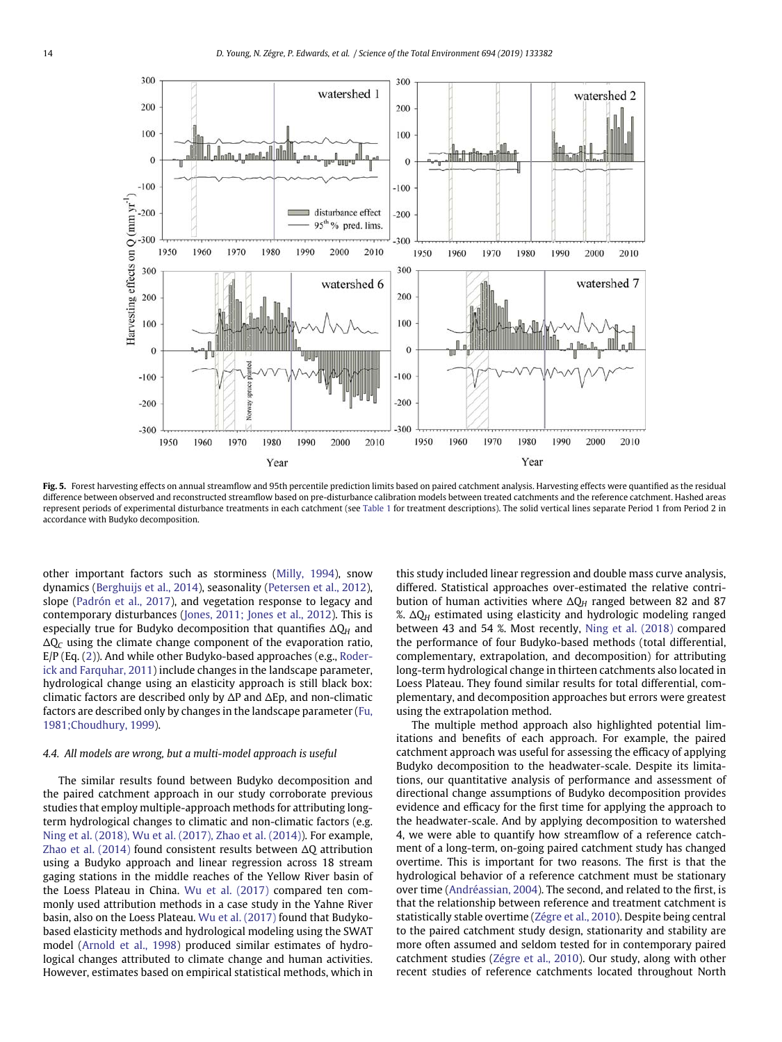

<span id="page-14-0"></span>Fig. 5. Forest harvesting effects on annual streamflow and 95th percentile prediction limits based on paired catchment analysis. Harvesting effects were quantified as the residual difference between observed and reconstructed streamflow based on pre-disturbance calibration models between treated catchments and the reference catchment. Hashed areas represent periods of experimental disturbance treatments in each catchment (see [Table 1](#page-5-0) for treatment descriptions). The solid vertical lines separate Period 1 from Period 2 in accordance with Budyko decomposition.

other important factors such as storminess [\(Milly, 1994\)](#page-16-26), snow dynamics [\(Berghuijs et al., 2014\)](#page-15-13), seasonality [\(Petersen et al., 2012\)](#page-17-19), slope [\(Padrón et al., 2017\)](#page-16-16), and vegetation response to legacy and contemporary disturbances [\(Jones, 2011; Jones et al., 2012\)](#page-16-2). This is especially true for Budyko decomposition that quantifies  $\Delta Q_H$  and  $\Delta Q_C$  using the climate change component of the evaporation ratio, E/P (Eq. [\(2\)](#page-6-5)). And while other Budyko-based approaches (e.g., Roderick and Farquhar, 2011) include changes in the landscape parameter, hydrological change using an elasticity approach is still black box: climatic factors are described only by  $\Delta P$  and  $\Delta Ep$ , and non-climatic factors are described only by changes in the landscape parameter (Fu, 1981;Choudhury, 1999).

### *4.4. All models are wrong, but a multi-model approach is useful*

The similar results found between Budyko decomposition and the paired catchment approach in our study corroborate previous studies that employ multiple-approach methods for attributing longterm hydrological changes to climatic and non-climatic factors (e.g. [Ning et al. \(2018\), Wu et al. \(2017\), Zhao et al. \(2014\)\)](#page-16-27). For example, [Zhao et al. \(2014\)](#page-17-20) found consistent results between  $\Delta Q$  attribution using a Budyko approach and linear regression across 18 stream gaging stations in the middle reaches of the Yellow River basin of the Loess Plateau in China. [Wu et al. \(2017\)](#page-17-6) compared ten commonly used attribution methods in a case study in the Yahne River basin, also on the Loess Plateau. [Wu et al. \(2017\)](#page-17-6) found that Budykobased elasticity methods and hydrological modeling using the SWAT model [\(Arnold et al., 1998\)](#page-15-14) produced similar estimates of hydrological changes attributed to climate change and human activities. However, estimates based on empirical statistical methods, which in this study included linear regression and double mass curve analysis, differed. Statistical approaches over-estimated the relative contribution of human activities where  $\Delta Q_H$  ranged between 82 and 87 %.  $\Delta Q_H$  estimated using elasticity and hydrologic modeling ranged between 43 and 54 %. Most recently, [Ning et al. \(2018\)](#page-16-27) compared the performance of four Budyko-based methods (total differential, complementary, extrapolation, and decomposition) for attributing long-term hydrological change in thirteen catchments also located in Loess Plateau. They found similar results for total differential, complementary, and decomposition approaches but errors were greatest using the extrapolation method.

The multiple method approach also highlighted potential limitations and benefits of each approach. For example, the paired catchment approach was useful for assessing the efficacy of applying Budyko decomposition to the headwater-scale. Despite its limitations, our quantitative analysis of performance and assessment of directional change assumptions of Budyko decomposition provides evidence and efficacy for the first time for applying the approach to the headwater-scale. And by applying decomposition to watershed 4, we were able to quantify how streamflow of a reference catchment of a long-term, on-going paired catchment study has changed overtime. This is important for two reasons. The first is that the hydrological behavior of a reference catchment must be stationary over time [\(Andréassian, 2004\)](#page-15-15). The second, and related to the first, is that the relationship between reference and treatment catchment is statistically stable overtime [\(Zégre et al., 2010\)](#page-17-15). Despite being central to the paired catchment study design, stationarity and stability are more often assumed and seldom tested for in contemporary paired catchment studies [\(Zégre et al., 2010\)](#page-17-15). Our study, along with other recent studies of reference catchments located throughout North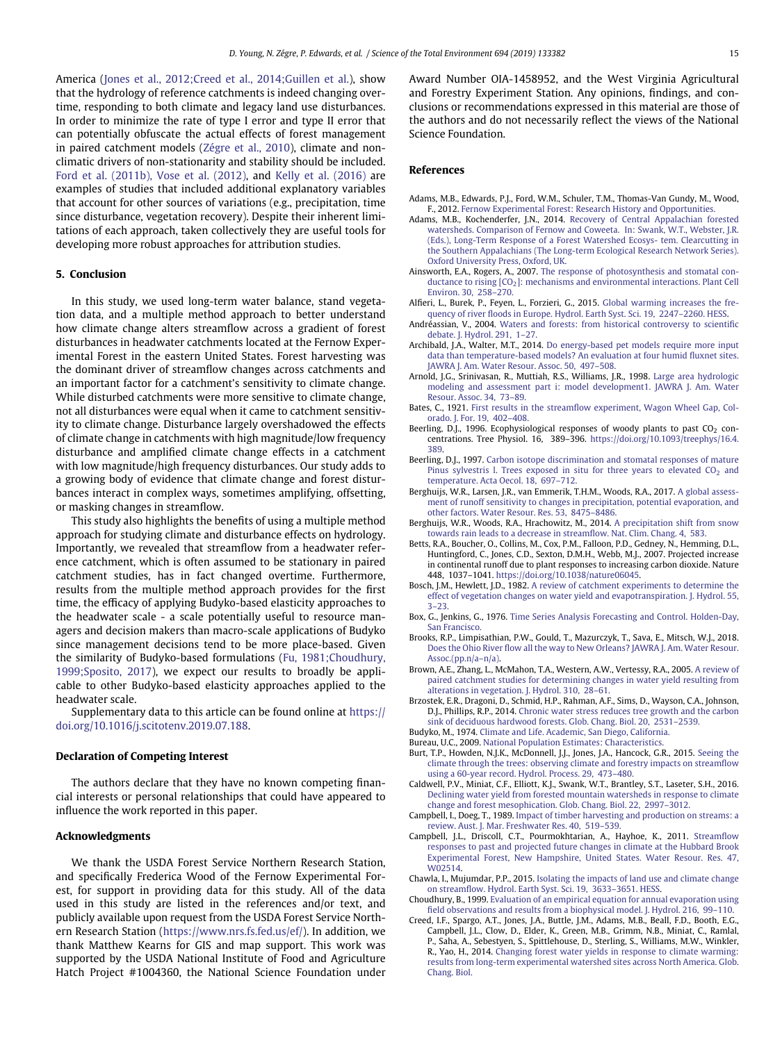America [\(Jones et al., 2012;Creed et al., 2014;Guillen et al.\)](#page-16-1), show that the hydrology of reference catchments is indeed changing overtime, responding to both climate and legacy land use disturbances. In order to minimize the rate of type I error and type II error that can potentially obfuscate the actual effects of forest management in paired catchment models [\(Zégre et al., 2010\)](#page-17-15), climate and nonclimatic drivers of non-stationarity and stability should be included. [Ford et al. \(2011b\), Vose et al. \(2012\),](#page-16-18) and [Kelly et al. \(2016\)](#page-16-28) are examples of studies that included additional explanatory variables that account for other sources of variations (e.g., precipitation, time since disturbance, vegetation recovery). Despite their inherent limitations of each approach, taken collectively they are useful tools for developing more robust approaches for attribution studies.

#### **5. Conclusion**

In this study, we used long-term water balance, stand vegetation data, and a multiple method approach to better understand how climate change alters streamflow across a gradient of forest disturbances in headwater catchments located at the Fernow Experimental Forest in the eastern United States. Forest harvesting was the dominant driver of streamflow changes across catchments and an important factor for a catchment's sensitivity to climate change. While disturbed catchments were more sensitive to climate change, not all disturbances were equal when it came to catchment sensitivity to climate change. Disturbance largely overshadowed the effects of climate change in catchments with high magnitude/low frequency disturbance and amplified climate change effects in a catchment with low magnitude/high frequency disturbances. Our study adds to a growing body of evidence that climate change and forest disturbances interact in complex ways, sometimes amplifying, offsetting, or masking changes in streamflow.

This study also highlights the benefits of using a multiple method approach for studying climate and disturbance effects on hydrology. Importantly, we revealed that streamflow from a headwater reference catchment, which is often assumed to be stationary in paired catchment studies, has in fact changed overtime. Furthermore, results from the multiple method approach provides for the first time, the efficacy of applying Budyko-based elasticity approaches to the headwater scale - a scale potentially useful to resource managers and decision makers than macro-scale applications of Budyko since management decisions tend to be more place-based. Given the similarity of Budyko-based formulations (Fu, 1981;Choudhury, 1999;Sposito, 2017), we expect our results to broadly be applicable to other Budyko-based elasticity approaches applied to the headwater scale.

Supplementary data to this article can be found online at [https://](https://doi.org/10.1016/j.scitotenv.2019.07.188) [doi.org/10.1016/j.scitotenv.2019.07.188.](https://doi.org/10.1016/j.scitotenv.2019.07.188)

#### **Declaration of Competing Interest**

The authors declare that they have no known competing financial interests or personal relationships that could have appeared to influence the work reported in this paper.

## **Acknowledgments**

We thank the USDA Forest Service Northern Research Station, and specifically Frederica Wood of the Fernow Experimental Forest, for support in providing data for this study. All of the data used in this study are listed in the references and/or text, and publicly available upon request from the USDA Forest Service Northern Research Station [\(https://www.nrs.fs.fed.us/ef/\)](https://www.nrs.fs.fed.us/ef/). In addition, we thank Matthew Kearns for GIS and map support. This work was supported by the USDA National Institute of Food and Agriculture Hatch Project #1004360, the National Science Foundation under Award Number OIA-1458952, and the West Virginia Agricultural and Forestry Experiment Station. Any opinions, findings, and conclusions or recommendations expressed in this material are those of the authors and do not necessarily reflect the views of the National Science Foundation.

# **References**

- <span id="page-15-7"></span>Adams, M.B., Edwards, P.J., Ford, W.M., Schuler, T.M., Thomas-Van Gundy, M., Wood, F., 2012. [Fernow Experimental Forest: Research History and Opportunities.](http://refhub.elsevier.com/S0048-9697(19)33302-9/rf0005)
- <span id="page-15-8"></span>Adams, M.B., Kochenderfer, J.N., 2014. Recovery of Central Appalachian forested watersheds. Comparison of Fernow and Coweeta. In: Swank, W.T., Webster, J.R. (Eds.), Long-Term Response of a Forest Watershed Ecosys- tem. Clearcutting in the Southern Appalachians (The Long-term Ecological Research Network Series). Oxford University Press, Oxford, UK.
- <span id="page-15-2"></span>Ainsworth, E.A., Rogers, A., 2007. The response of photosynthesis and stomatal con-ductance to rising [CO<sub>2</sub>[\]: mec](http://refhub.elsevier.com/S0048-9697(19)33302-9/rf0015)hanisms and environmental interactions. Plant Cell Environ. 30, 258–270.
- <span id="page-15-12"></span>Alfieri, L., Burek, P., Feyen, L., Forzieri, G., 2015. Global warming increases the frequency of river floods in Europe. Hydrol. Earth Syst. Sci. 19, 2247–2260. [HESS.](http://refhub.elsevier.com/S0048-9697(19)33302-9/rf0020)
- <span id="page-15-15"></span>Andréassian, V., 2004. Waters and forests: from historical controversy to scientific debate. J. Hydrol. 291, 1–27.
- <span id="page-15-9"></span>Archibald, J.A., Walter, M.T., 2014. Do energy-based pet models require more input data than temperature-based [models? An evaluati](http://refhub.elsevier.com/S0048-9697(19)33302-9/rf0030)on at four humid fluxnet sites. JAWRA J. Am. Water Resour. Assoc. 50, 497–508.
- <span id="page-15-14"></span>Arnold, J.G., Srinivasan, R., Muttiah, R.S., Williams, J.R., 1998. Large area hydrologic modeling and assessmen[t part i: model development1.](http://refhub.elsevier.com/S0048-9697(19)33302-9/rf0035) JAWRA J. Am. Water Resour. Assoc. 34, 73–89.
- <span id="page-15-10"></span>Bates, C., 1921. First results in the streamflow experiment, Wagon Wheel Gap, Colorado. J. For. 19, 402–408.
- Beerling, D.J., 1996. Ecophysiological responses of woody plants to past  $CO<sub>2</sub>$  concentrations. Tree Physiol. 16, 389–396. [https://doi.org/10.1093/treephys/16.4.](https://doi.org/10.1093/treephys/16.4.389) [389.](https://doi.org/10.1093/treephys/16.4.389)
- Beerling, D.J., 1997. Carbon isotope discrimination and stomatal responses of mature Pinus sylvestri[s l. Trees exposed in sit](http://refhub.elsevier.com/S0048-9697(19)33302-9/rf0050)u for three years to elevated  $CO<sub>2</sub>$  and temperature. Acta Oecol. 18, 697–712.
- Berghuijs, W.R., Larsen, J.R., van Emmerik, T.H.M., Woods, R.A., 2017. A global assessment of runoff sensitivity to changes in precipitat[ion, potential e](http://refhub.elsevier.com/S0048-9697(19)33302-9/rf0055)vaporation, and other factors. Water Resour. Res. 53, 8475–8486.
- <span id="page-15-13"></span>Berghuijs, W.R., Woods, R.A., Hrachowitz, M., 2014. A precipitation shift from snow towards rain leads to a decrease in streamflow. Nat. Clim. Chang. 4, 583.
- Betts, R.A., Boucher, O., Collins, M., Cox, P.M., Falloon, P.D., Gedney, N., Hemming, D.L., Huntingford, C., Jones, C.D., Sexton, D.M.H., Webb, M.J., 2007. Projected increase in continental runoff due to plant responses to increasing carbon dioxide. Nature 448, 1037–1041. [https://doi.org/10.1038/nature06045.](https://doi.org/10.1038/nature06045)
- <span id="page-15-1"></span>Bosch, J.M., Hewlett, J.D., 1982. A review of catchment experiments to determine the effect [of vegetation change](http://refhub.elsevier.com/S0048-9697(19)33302-9/rf0070)s on water yield and evapotranspiration. J. Hydrol. 55, 3–23.
- Box, G., Jenkins, G., 1976. Time Series Analysis Forecasting and Control. Holden-Day, San Francisco.
- <span id="page-15-5"></span>Brooks, R.P., Limpisathian, P.W., Gould, T., Mazurczyk, T., Sava, E., Mitsch, W.J., 2018. Does the Ohio River flow all the way to New Orleans? JAWRA J. Am. Water Resour. Assoc[.\(pp.n/a–n/a\).](http://refhub.elsevier.com/S0048-9697(19)33302-9/rf0080)
- Brown, A.E., Zhang, L., McMahon, T.A., Western, A.W., Vertessy, R.A., 2005. A review of paired catchment studies for determining chan[ges in water yield res](http://refhub.elsevier.com/S0048-9697(19)33302-9/rf0085)ulting from alterations in vegetation. J. Hydrol. 310, 28–61.
- Brzostek, E.R., Dragoni, D., Schmid, H.P., Rahman, A.F., Sims, D., Wayson, C.A., Johnson, D.J., Phillips, R.P., 2014. Chronic water stress reduces tree growth and the carbon sink of deciduous hardwood forests. Glob. Chang. Biol. 20, 2531–2539.
- <span id="page-15-3"></span>Budyko, M., 1974. [Climate and Life. Academic, San Diego, California.](http://refhub.elsevier.com/S0048-9697(19)33302-9/rf0095)
- <span id="page-15-6"></span>Bureau, U.C., 2009. [National Population Estimates: Characteristics.](http://refhub.elsevier.com/S0048-9697(19)33302-9/rf0100)
- Burt, T.P., Howden, N.J.K., McDonnell, J.J., Jones, J.A., Hancock, G.R., 2015. Seeing the climate through the trees: observing climate and fores[try impacts on s](http://refhub.elsevier.com/S0048-9697(19)33302-9/rf0105)treamflow using a 60-year record. Hydrol. Process. 29, 473–480.
- <span id="page-15-11"></span>Caldwell, P.V., Miniat, C.F., Elliott, K.J., Swank, W.T., Brantley, S.T., Laseter, S.H., 2016. Declining water yield from forested mountain watersheds in response to climate change and forest mesophication. Glob. Chang. Biol. 22, 2997–3012.
- Campbell, I., Doeg, T., 1989. Impact of timber harvesting and production on streams: a review. Aust. J. Mar. Freshwater Res. 40, 519–539.
- <span id="page-15-0"></span>Campbell, J.L., Driscoll, C.T., Pourmokhtarian, A., Hayhoe, K., 2011. Streamflow [responses to past and projected future changes in climate at the Hub](http://refhub.elsevier.com/S0048-9697(19)33302-9/rf0120)bard Brook Experimental Forest, New Hampshire, United States. Water Resour. Res. 47, [W02514.](http://refhub.elsevier.com/S0048-9697(19)33302-9/rf0120)
- Chawla, I., Mujumdar, P.P., 2015. Isolating the impacts of land use and climate change on streamflow. Hydrol. Earth Syst. Sci. 19, 3633–3651. [HESS.](http://refhub.elsevier.com/S0048-9697(19)33302-9/rf0125)
- Choudhury, B., 1999. Evaluation of an empirical equation for annual evaporation using field observations and results from a biophysical model. J. Hydrol. 216, 99–110.
- <span id="page-15-4"></span>Creed, I.F., Spargo, A.T., Jones, J.A., Buttle, J.M., Adams, M.B., Beall, F.D., Booth, E.G., Campbell, J.L., Clow, D., Elder, K., Green, M.B., Grimm, N.B., Miniat, C., Ramlal, P., Saha, A., Sebestyen, S., Spittlehouse, D., Sterling, S., Williams, M.W., Winkler, R., Yao, H., 2014. Changing forest water yields in response to climate warming: results fro[m long-](http://refhub.elsevier.com/S0048-9697(19)33302-9/rf0135)term experimental watershed sites across North America. Glob. Chang. Biol.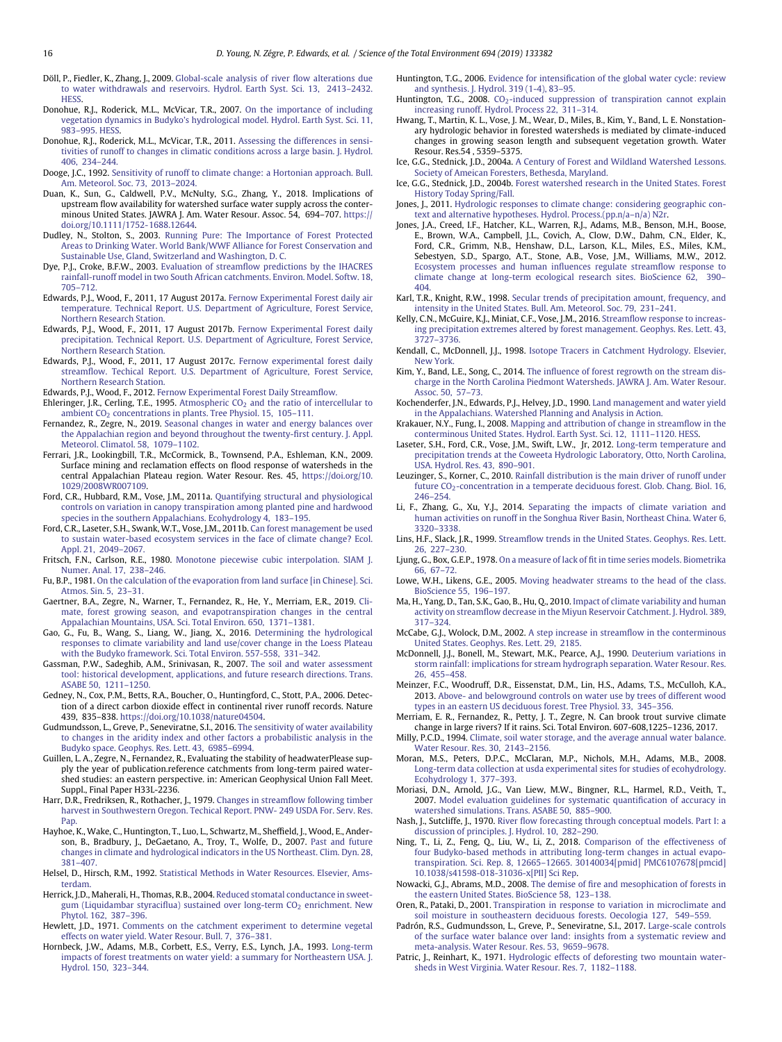- <span id="page-16-3"></span>Döll, P., Fiedler, K., Zhang, J., 2009. Global-scale analysis of river flow alterations due [to water withdrawals and re](http://refhub.elsevier.com/S0048-9697(19)33302-9/rf0140)servoirs. Hydrol. Earth Syst. Sci. 13, 2413–2432. **HESS**
- Donohue, R.J., Roderick, M.L., McVicar, T.R., 2007. On the importance of including vegetatio[n dynamics in Budyko's hydrological m](http://refhub.elsevier.com/S0048-9697(19)33302-9/rf0145)odel. Hydrol. Earth Syst. Sci. 11, 983–995. [HESS.](http://refhub.elsevier.com/S0048-9697(19)33302-9/rf0145)
- Donohue, R.J., Roderick, M.L., McVicar, T.R., 2011. Assessing the differences in sensitivities of runof[f to changes in climatic condit](http://refhub.elsevier.com/S0048-9697(19)33302-9/rf0150)ions across a large basin. J. Hydrol. 406, 234–244.
- Dooge, J.C., 1992. Sensitivity of runoff to climate change: a Hortonian approach. Bull. Am. Meteorol. Soc. 73, 2013–2024.
- Duan, K., Sun, G., Caldwell, P.V., McNulty, S.G., Zhang, Y., 2018. Implications of upstream flow availability for watershed surface water supply across the conterminous United States. JAWRA J. Am. Water Resour. Assoc. 54, 694–707. [https://](https://doi.org/10.1111/1752-1688.12644) [doi.org/10.1111/1752-1688.12644.](https://doi.org/10.1111/1752-1688.12644)
- <span id="page-16-0"></span>Dudley, N., Stolton, S., 2003. Running Pure: The Importance of Forest Protected Areas to Drinking Water. [World Bank/WWF Alliance for Fo](http://refhub.elsevier.com/S0048-9697(19)33302-9/rf0165)rest Conservation and Sustainable Use, Gland, Switzerland and Washington, D. C.
- <span id="page-16-17"></span>Dye, P.J., Croke, B.F.W., 2003. Evaluation of streamflow predictions by the IHACRES rainfall-ru[noff model in tw](http://refhub.elsevier.com/S0048-9697(19)33302-9/rf0170)o South African catchments. Environ. Model. Softw. 18, 705–712.
- <span id="page-16-8"></span>Edwards, P.J., Wood, F., 2011, 17 August 2017a. Fernow Experimental Forest daily air temperature. Technical Re[port. U.S. Depar](http://refhub.elsevier.com/S0048-9697(19)33302-9/rf0175)tment of Agriculture, Forest Service, Northern Research Station.
- Edwards, P.J., Wood, F., 2011, 17 August 2017b. Fernow Experimental Forest daily precipitation. Technical Re[port. U.S. Departm](http://refhub.elsevier.com/S0048-9697(19)33302-9/rf0180)ent of Agriculture, Forest Service, Northern Research Station.
- <span id="page-16-11"></span>Edwards, P.J., Wood, F., 2011, 17 August 2017c. Fernow experimental forest daily streamflow. Techical Repo[rt. U.S. Departme](http://refhub.elsevier.com/S0048-9697(19)33302-9/rf0185)nt of Agriculture, Forest Service, Northern Research Station.
- <span id="page-16-9"></span>Edwards, P.J., Wood, F., 2012. [Fernow Experimental Forest Daily Streamflow.](http://refhub.elsevier.com/S0048-9697(19)33302-9/rf0190)
- Ehleringer, J.R., Cerling, T.E., 1995. Atmospheric  $CO<sub>2</sub>$  $CO<sub>2</sub>$  $CO<sub>2</sub>$  and the ratio of intercellular to ambient CO<sub>2</sub> concentrations in plants. Tree Physiol. 15, 105-111.
- <span id="page-16-20"></span>Fernandez, R., Zegre, N., 2019. Seasonal changes in water and energy balances over the Appalachian region a[nd beyond t](http://refhub.elsevier.com/S0048-9697(19)33302-9/rf0200)hroughout the twenty-first century. J. Appl. Meteorol. Climatol. 58, 1079–1102.
- Ferrari, J.R., Lookingbill, T.R., McCormick, B., Townsend, P.A., Eshleman, K.N., 2009. Surface mining and reclamation effects on flood response of watersheds in the central Appalachian Plateau region. Water Resour. Res. 45, [https://doi.org/10.](https://doi.org/10.1029/2008WR007109) [1029/2008WR007109.](https://doi.org/10.1029/2008WR007109)
- Ford, C.R., Hubbard, R.M., Vose, J.M., 2011a. Quantifying structural and physiological controls on variation in canopy transpi[ration among planted pine](http://refhub.elsevier.com/S0048-9697(19)33302-9/rf0210) and hardwood species in the southern Appalachians. Ecohydrology 4, 183–195.
- <span id="page-16-18"></span>Ford, C.R., Laseter, S.H., Swank, W.T., Vose, J.M., 2011b. Can forest management be used to sustain water-base[d ecosystem services in th](http://refhub.elsevier.com/S0048-9697(19)33302-9/rf0215)e face of climate change? Ecol. Appl. 21, 2049–2067.
- <span id="page-16-10"></span>Fritsch, F.N., Carlson, R.E., 1980. Monotone piecewise cubic interpolation. SIAM J. Numer. Anal. 17, 238–246.
- <span id="page-16-15"></span>Fu, B.P., 1981. On the calculation of the evaporation from land surface [in Chinese]. Sci. Atmos. Sin. 5, 23–31.
- Gaertner, B.A., Zegre, N., Warner, T., Fernandez, R., He, Y., Merriam, E.R., 2019. Climate, forest growing season, and evapotranspiration changes [in the cen](http://refhub.elsevier.com/S0048-9697(19)33302-9/rf0230)tral Appalachian Mountains, USA. Sci. Total Environ. 650, 1371–1381.
- Gao, G., Fu, B., Wang, S., Liang, W., Jiang, X., 2016. Determining the hydrological responses to climate variability and land use/co[ver change in the L](http://refhub.elsevier.com/S0048-9697(19)33302-9/rf0235)oess Plateau with the Budyko framework. Sci. Total Environ. 557-558, 331–342.
- Gassman, P.W., Sadeghib, A.M., Srinivasan, R., 2007. The soil and water assessment tool: historical develop[ment, applications, and fu](http://refhub.elsevier.com/S0048-9697(19)33302-9/rf0240)ture research directions. Trans. ASABE 50, 1211–1250.
- Gedney, N., Cox, P.M., Betts, R.A., Boucher, O., Huntingford, C., Stott, P.A., 2006. Detection of a direct carbon dioxide effect in continental river runoff records. Nature 439, 835–838. [https://doi.org/10.1038/nature04504.](https://doi.org/10.1038/nature04504)
- Gudmundsson, L., Greve, P., Seneviratne, S.I., 2016. The sensitivity of water availability to changes in the aridity index and other fa[ctors a](http://refhub.elsevier.com/S0048-9697(19)33302-9/rf0250) probabilistic analysis in the Budyko space. Geophys. Res. Lett. 43, 6985–6994.
- Guillen, L. A., Zegre, N., Fernandez, R., Evaluating the stability of headwaterPlease supply the year of publication.reference catchments from long-term paired watershed studies: an eastern perspective. in: American Geophysical Union Fall Meet. Suppl., Final Paper H33L-2236.
- Harr, D.R., Fredriksen, R., Rothacher, J., 1979. Changes in streamflow following timber harv[est in Southwestern Oregon. Techica](http://refhub.elsevier.com/S0048-9697(19)33302-9/rf0255)l Report. PNW- 249 USDA For. Serv. Res. Pap.
- Hayhoe, K., Wake, C., Huntington, T., Luo, L., Schwartz, M., Sheffield, J., Wood, E., Anderson, B., Bradbury, J., DeGaetano, A., Troy, T., Wolfe, D., 2007. Past and future changes i[n climate and hydrological indicators in the US Northeas](http://refhub.elsevier.com/S0048-9697(19)33302-9/rf0260)t. Clim. Dyn. 28, 381–407.
- <span id="page-16-13"></span>Helsel, D., Hirsch, R.M., 1992. Statistical Methods in Water Resources. Elsevier, Amsterdam.
- Herrick, J.D., Maherali, H., Thomas, R.B., 2004. Reduced stomatal conductance in sweetgum (Liquidambar sty[raciflua\) sustaine](http://refhub.elsevier.com/S0048-9697(19)33302-9/rf0270)d over long-term CO<sub>2</sub> enrichment. New Phytol. 162, 387–396.
- <span id="page-16-5"></span>Hewlett, J.D., 1971. Comments on the catchment experiment to determine vegetal effects on water yield. Water Resour. Bull. 7, 376–381.
- Hornbeck, J.W., Adams, M.B., Corbett, E.S., Verry, E.S., Lynch, J.A., 1993. Long-term impacts of forest treat[ments on water yield: a summary for Northeast](http://refhub.elsevier.com/S0048-9697(19)33302-9/rf0280)ern USA. J. Hydrol. 150, 323–344.
- Huntington, T.G., 2006. Evidence for intensification of the global water cycle: review and synthesis. J. Hydrol. 319 (1-4), 83–95.
- <span id="page-16-25"></span>Huntington, T.G., [2](http://refhub.elsevier.com/S0048-9697(19)33302-9/rf0290)008.  $CO<sub>2</sub>$ -induced suppression of transpiration cannot explain increasing runoff. Hydrol. Process 22, 311–314.
- Hwang, T., Martin, K. L., Vose, J. M., Wear, D., Miles, B., Kim, Y., Band, L. E. Nonstationary hydrologic behavior in forested watersheds is mediated by climate-induced changes in growing season length and subsequent vegetation growth. Water Resour. Res.54 , 5359–5375.
- Ice, G.G., Stednick, J.D., 2004a. A Century of Forest and Wildland Watershed Lessons. Society of Ameican Foresters, Bethesda, Maryland.
- Ice, G.G., Stednick, J.D., 2004b. Forest watershed research in the United States. Forest History Today Spring/Fall.
- <span id="page-16-2"></span>Jones, J., 2011. Hydrologic responses to climate change: considering geographic context and alternative hypotheses. Hydrol. Process[.\(pp.n/a–n/a\) N2r.](http://refhub.elsevier.com/S0048-9697(19)33302-9/rf0305)
- <span id="page-16-1"></span>Jones, J.A., Creed, I.F., Hatcher, K.L., Warren, R.J., Adams, M.B., Benson, M.H., Boose, E., Brown, W.A., Campbell, J.L., Covich, A., Clow, D.W., Dahm, C.N., Elder, K., Ford, C.R., Grimm, N.B., Henshaw, D.L., Larson, K.L., Miles, E.S., Miles, K.M., Sebestyen, S.D., Spargo, A.T., Stone, A.B., Vose, J.M., Williams, M.W., 2012. Ecosystem processes and human influences regulate streamflow response to [clima](http://refhub.elsevier.com/S0048-9697(19)33302-9/rf0310)te change at long-term ecological research sites. BioScience 62, 390– 404.
- Karl, T.R., Knight, R.W., 1998. Secular trends of precipitation amount, frequency, and intensity in the United States. Bull. Am. Meteorol. Soc. 79, 231–241.
- <span id="page-16-28"></span>Kelly, C.N., McGuire, K.J., Miniat, C.F., Vose, J.M., 2016. Streamflow response to increasing precipita[tion extremes altered by forest man](http://refhub.elsevier.com/S0048-9697(19)33302-9/rf0320)agement. Geophys. Res. Lett. 43, 3727–3736.
- <span id="page-16-24"></span>Kendall, C., McDonnell, J.J., 1998. Isotope Tracers in Catchment Hydrology. Elsevier, New York.
- Kim, Y., Band, L.E., Song, C., 2014. The influence of forest regrowth on the stream discharge in the Nort[h Carolina](http://refhub.elsevier.com/S0048-9697(19)33302-9/rf0330) Piedmont Watersheds. JAWRA J. Am. Water Resour. Assoc. 50, 57–73.
- <span id="page-16-6"></span>Kochenderfer, J.N., Edwards, P.J., Helvey, J.D., 1990. Land management and water yield in the Appalachians. Watershed Planning and Analysis in Action.
- Krakauer, N.Y., Fung, I., 2008. Mapping and attribution of change in streamflow in the conterminous United States. Hydrol. Earth Syst. Sci. 12, 1111–1120. [HESS.](http://refhub.elsevier.com/S0048-9697(19)33302-9/rf0340)
- <span id="page-16-19"></span>Laseter, S.H., Ford, C.R., Vose, J.M., Swift, L.W., Jr, 2012. Long-term temperature and precipitation trends at the Cow[eeta Hydrologic Labo](http://refhub.elsevier.com/S0048-9697(19)33302-9/rf0345)ratory, Otto, North Carolina, USA. Hydrol. Res. 43, 890–901.
- Leuzinger, S., Korner, C., 2010. Rainfall distribution is the main driver of runoff under future  $CO<sub>2</sub>$ -concentration in a temperate deciduous forest. Glob. Chang. Biol. 16, 246–254.
- Li, F., Zhang, G., Xu, Y.J., 2014. Separating the impacts of climate variation and human activ[ities on runoff in](http://refhub.elsevier.com/S0048-9697(19)33302-9/rf0355) the Songhua River Basin, Northeast China. Water 6, 3320–3338.
- Lins, H.F., Slack, J.R., 1999. Streamflow trends in the United States. Geophys. Res. Lett. 26, 227–230.
- <span id="page-16-14"></span>Ljung, G., Box, G.E.P., 1978. On a measure of lack of fit in time series models. Biometrika 66, 67–72.
- Lowe, W.H., Likens, G.E., 2005. Moving headwater streams to the head of the class. BioScience 55, 196–197.
- <span id="page-16-4"></span>Ma, H., Yang, D., Tan, S.K., Gao, B., Hu, Q., 2010. Impact of climate variability and human activity o[n streamflow decrease in the Mi](http://refhub.elsevier.com/S0048-9697(19)33302-9/rf0375)yun Reservoir Catchment. J. Hydrol. 389, 317–324.
- McCabe, G.J., Wolock, D.M., 2002. A step increase in streamflow in the conterminous United States. Geophys. Res. Lett. 29, 2185.
- <span id="page-16-23"></span>McDonnell, J.J., Bonell, M., Stewart, M.K., Pearce, A.J., 1990. Deuterium variations in storm rainfall: [implications for stream hydrograph separ](http://refhub.elsevier.com/S0048-9697(19)33302-9/rf0385)ation. Water Resour. Res. 26, 455–458.
- Meinzer, F.C., Woodruff, D.R., Eissenstat, D.M., Lin, H.S., Adams, T.S., McCulloh, K.A., 2013. Above- and belowground controls on water use by trees of different wood types in an eastern US deciduous forest. Tree Physiol. 33, 345–356.
- Merriam, E. R., Fernandez, R., Petty, J. T., Zegre, N. Can brook trout survive climate change in large rivers? If it rains. Sci. Total Environ. 607-608,1225–1236, 2017.
- <span id="page-16-26"></span>Milly, P.C.D., 1994. Climate, soil water storage, and the average annual water balance. Water Resour. Res. 30, 2143–2156.
- Moran, M.S., Peters, D.P.C., McClaran, M.P., Nichols, M.H., Adams, M.B., 2008. Long-term data collection at usda experimental sites for studies of ecohydrology. Ecohydrology 1, 377–393.
- Moriasi, D.N., Arnold, J.G., Van Liew, M.W., Bingner, R.L., Harmel, R.D., Veith, T., 2007. Model evaluation guidelines for systematic quantification of accuracy in watershed simulations. Trans. ASABE 50, 885–900.
- <span id="page-16-12"></span>Nash, J., Sutcliffe, J., 1970. River flow forecasting through conceptual models. Part I: a discussion of principles. J. Hydrol. 10, 282–290.
- <span id="page-16-27"></span>Ning, T., Li, Z., Feng, Q., Liu, W., Li, Z., 2018. Comparison of the effectiveness of four Budyko-based metho[ds in attributing](http://refhub.elsevier.com/S0048-9697(19)33302-9/rf0415) long-term changes in actual evapotranspiration. Sci. Rep. 8, 12665–12665. 30140034[pmid] PMC6107678[pmcid] 10.1038/s41598-018-31036-x[PII] Sci Rep.
- <span id="page-16-22"></span>Nowacki, G.J., Abrams, M.D., 2008. The demise of fire and mesophication of forests in the eastern United States. BioScience 58, 123–138.
- Oren, R., Pataki, D., 2001. Transpiration in response to variation in microclimate and soil moisture in southeastern deciduous forests. Oecologia 127, 549–559.
- <span id="page-16-16"></span>Padrón, R.S., Gudmundsson, L., Greve, P., Seneviratne, S.I., 2017. Large-scale controls of the surface water balance over land: insights f[rom a sys](http://refhub.elsevier.com/S0048-9697(19)33302-9/rf0430)tematic review and meta-analysis. Water Resour. Res. 53, 9659–9678.
- <span id="page-16-21"></span><span id="page-16-7"></span>Patric, J., Reinhart, K., 1971. Hydrologic effects of deforesting two mountain watersheds in West Virginia. Water Resour. Res. 7, 1182–1188.